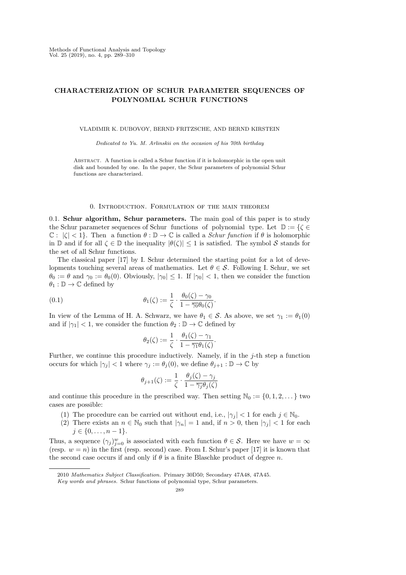# CHARACTERIZATION OF SCHUR PARAMETER SEQUENCES OF POLYNOMIAL SCHUR FUNCTIONS

VLADIMIR K. DUBOVOY, BERND FRITZSCHE, AND BERND KIRSTEIN

Dedicated to Yu. M. Arlinskii on the occasion of his 70th birthday

ABSTRACT. A function is called a Schur function if it is holomorphic in the open unit disk and bounded by one. In the paper, the Schur parameters of polynomial Schur functions are characterized.

## 0. Introduction. Formulation of the main theorem

0.1. Schur algorithm, Schur parameters. The main goal of this paper is to study the Schur parameter sequences of Schur functions of polynomial type. Let  $\mathbb{D} := \{ \zeta \in$  $\mathbb{C}: |\zeta| < 1$ . Then a function  $\theta : \mathbb{D} \to \mathbb{C}$  is called a *Schur function* if  $\theta$  is holomorphic in D and if for all  $\zeta \in \mathbb{D}$  the inequality  $|\theta(\zeta)| \leq 1$  is satisfied. The symbol S stands for the set of all Schur functions.

The classical paper [17] by I. Schur determined the starting point for a lot of developments touching several areas of mathematics. Let  $\theta \in \mathcal{S}$ . Following I. Schur, we set  $\theta_0 := \theta$  and  $\gamma_0 := \theta_0(0)$ . Obviously,  $|\gamma_0| \leq 1$ . If  $|\gamma_0| < 1$ , then we consider the function  $\theta_1 : \mathbb{D} \to \mathbb{C}$  defined by

(0.1) 
$$
\theta_1(\zeta) := \frac{1}{\zeta} \cdot \frac{\theta_0(\zeta) - \gamma_0}{1 - \overline{\gamma_0} \theta_0(\zeta)}.
$$

In view of the Lemma of H. A. Schwarz, we have  $\theta_1 \in \mathcal{S}$ . As above, we set  $\gamma_1 := \theta_1(0)$ and if  $|\gamma_1| < 1$ , we consider the function  $\theta_2 : \mathbb{D} \to \mathbb{C}$  defined by

$$
\theta_2(\zeta) := \frac{1}{\zeta} \cdot \frac{\theta_1(\zeta) - \gamma_1}{1 - \overline{\gamma_1}\theta_1(\zeta)}.
$$

Further, we continue this procedure inductively. Namely, if in the  $j$ -th step a function occurs for which  $|\gamma_i| < 1$  where  $\gamma_i := \theta_i(0)$ , we define  $\theta_{i+1} : \mathbb{D} \to \mathbb{C}$  by

$$
\theta_{j+1}(\zeta) := \frac{1}{\zeta} \cdot \frac{\theta_j(\zeta) - \gamma_j}{1 - \overline{\gamma_j} \theta_j(\zeta)}
$$

and continue this procedure in the prescribed way. Then setting  $\mathbb{N}_0 := \{0, 1, 2, \dots\}$  two cases are possible:

- (1) The procedure can be carried out without end, i.e.,  $|\gamma_i| < 1$  for each  $j \in \mathbb{N}_0$ .
- (2) There exists an  $n \in \mathbb{N}_0$  such that  $|\gamma_n| = 1$  and, if  $n > 0$ , then  $|\gamma_i| < 1$  for each  $j \in \{0, \ldots, n-1\}.$

Thus, a sequence  $(\gamma_j)_{j=0}^w$  is associated with each function  $\theta \in \mathcal{S}$ . Here we have  $w = \infty$ (resp.  $w = n$ ) in the first (resp. second) case. From I. Schur's paper [17] it is known that the second case occurs if and only if  $\theta$  is a finite Blaschke product of degree n.

<sup>2010</sup> Mathematics Subject Classification. Primary 30D50; Secondary 47A48, 47A45.

Key words and phrases. Schur functions of polynomial type, Schur parameters.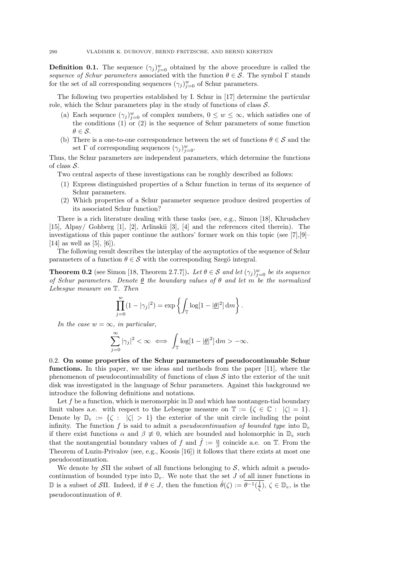**Definition 0.1.** The sequence  $(\gamma_j)_{j=0}^w$  obtained by the above procedure is called the sequence of Schur parameters associated with the function  $\theta \in \mathcal{S}$ . The symbol  $\Gamma$  stands for the set of all corresponding sequences  $(\gamma_j)_{j=0}^w$  of Schur parameters.

The following two properties established by I. Schur in [17] determine the particular role, which the Schur parameters play in the study of functions of class  $S$ .

- (a) Each sequence  $(\gamma_j)_{j=0}^w$  of complex numbers,  $0 \leq w \leq \infty$ , which satisfies one of the conditions  $(1)$  or  $(2)$  is the sequence of Schur parameters of some function  $\theta \in \mathcal{S}.$
- (b) There is a one-to-one correspondence between the set of functions  $\theta \in \mathcal{S}$  and the set  $\Gamma$  of corresponding sequences  $(\gamma_j)_{j=0}^w$ .

Thus, the Schur parameters are independent parameters, which determine the functions of class  $S$ .

Two central aspects of these investigations can be roughly described as follows:

- (1) Express distinguished properties of a Schur function in terms of its sequence of Schur parameters.
- (2) Which properties of a Schur parameter sequence produce desired properties of its associated Schur function?

There is a rich literature dealing with these tasks (see, e.g., Simon [18], Khrushchev [15], Alpay/ Gohberg [1], [2], Arlinskii [3], [4] and the references cited therein). The investigations of this paper continue the authors' former work on this topic (see [7],[9]– [14] as well as [5], [6]).

The following result describes the interplay of the asymptotics of the sequence of Schur parameters of a function  $\theta \in \mathcal{S}$  with the corresponding Szegö integral.

**Theorem 0.2** (see Simon [18, Theorem 2.7.7]). Let  $\theta \in S$  and let  $(\gamma_j)_{j=0}^w$  be its sequence of Schur parameters. Denote  $\theta$  the boundary values of  $\theta$  and let m be the normalized Lebesgue measure on T. Then

$$
\prod_{j=0}^w (1-|\gamma_j|^2) = \exp\left\{ \int_{\mathbb{T}} \log[1-|\underline{\theta}|^2] \, \mathrm{d}m \right\}.
$$

In the case  $w = \infty$ , in particular,

$$
\sum_{j=0}^\infty |\gamma_j|^2<\infty \iff \int_{\mathbb{T}} \log [1-|\underline{\theta}|^2] \, {\rm d}m >-\infty.
$$

0.2. On some properties of the Schur parameters of pseudocontinuable Schur functions. In this paper, we use ideas and methods from the paper [11], where the phenomenon of pseudocontinuability of functions of class  $S$  into the exterior of the unit disk was investigated in the language of Schur parameters. Against this background we introduce the following definitions and notations.

Let f be a function, which is meromorphic in  $\mathbb D$  and which has nontangen-tial boundary limit values a.e. with respect to the Lebesgue measure on  $\mathbb{T} := \{ \zeta \in \mathbb{C} : |\zeta| = 1 \}.$ Denote by  $\mathbb{D}_e := \{\zeta : |\zeta| > 1\}$  the exterior of the unit circle including the point infinity. The function f is said to admit a pseudocontinuation of bounded type into  $\mathbb{D}_e$ if there exist functions  $\alpha$  and  $\beta \neq 0$ , which are bounded and holomorphic in  $\mathbb{D}_e$  such that the nontangential boundary values of f and  $\hat{f} := \frac{\alpha}{\beta}$  coincide a.e. on T. From the Theorem of Luzin-Privalov (see, e.g., Koosis [16]) it follows that there exists at most one pseudocontinuation.

We denote by  $\mathcal{S}\Pi$  the subset of all functions belonging to  $\mathcal{S}$ , which admit a pseudocontinuation of bounded type into  $\mathbb{D}_{e}$ . We note that the set J of all inner functions in D is a subset of SII. Indeed, if  $\theta \in J$ , then the function  $\hat{\theta}(\zeta) := \overline{\theta^{-1}(\frac{1}{\overline{\zeta}})}$  $\frac{\overline{1}}{\overline{\zeta}}$ ,  $\zeta \in \mathbb{D}_e$ , is the pseudocontinuation of  $\theta$ .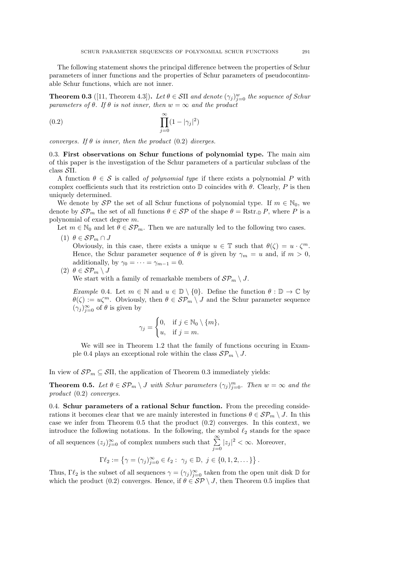The following statement shows the principal difference between the properties of Schur parameters of inner functions and the properties of Schur parameters of pseudocontinuable Schur functions, which are not inner.

**Theorem 0.3** ([11, Theorem 4.3]). Let  $\theta \in \mathcal{S}\Pi$  and denote  $(\gamma_j)_{j=0}^w$  the sequence of Schur parameters of  $\theta$ . If  $\theta$  is not inner, then  $w = \infty$  and the product

$$
(0.2)\qquad \qquad \prod_{j=0}^{\infty} (1 - |\gamma_j|^2)
$$

converges. If  $\theta$  is inner, then the product  $(0.2)$  diverges.

0.3. First observations on Schur functions of polynomial type. The main aim of this paper is the investigation of the Schur parameters of a particular subclass of the class SΠ.

A function  $\theta \in \mathcal{S}$  is called *of polynomial type* if there exists a polynomial P with complex coefficients such that its restriction onto  $D$  coincides with  $\theta$ . Clearly, P is then uniquely determined.

We denote by  $\mathcal{SP}$  the set of all Schur functions of polynomial type. If  $m \in \mathbb{N}_0$ , we denote by  $\mathcal{SP}_m$  the set of all functions  $\theta \in \mathcal{SP}$  of the shape  $\theta = \text{Rstr}_{\Box} P$ , where P is a polynomial of exact degree m.

Let  $m \in \mathbb{N}_0$  and let  $\theta \in \mathcal{SP}_m$ . Then we are naturally led to the following two cases.

(1)  $\theta \in \mathcal{SP}_m \cap J$ 

Obviously, in this case, there exists a unique  $u \in \mathbb{T}$  such that  $\theta(\zeta) = u \cdot \zeta^m$ . Hence, the Schur parameter sequence of  $\theta$  is given by  $\gamma_m = u$  and, if  $m > 0$ , additionally, by  $\gamma_0 = \cdots = \gamma_{m-1} = 0$ .

(2)  $\theta \in \mathcal{SP}_m \setminus J$ 

We start with a family of remarkable members of  $\mathcal{SP}_m \setminus J$ .

*Example* 0.4. Let  $m \in \mathbb{N}$  and  $u \in \mathbb{D} \setminus \{0\}$ . Define the function  $\theta : \mathbb{D} \to \mathbb{C}$  by  $\theta(\zeta) := u\zeta^m$ . Obviously, then  $\theta \in \mathcal{SP}_m \setminus J$  and the Schur parameter sequence  $(\gamma_j)_{j=0}^{\infty}$  of  $\theta$  is given by

$$
\gamma_j = \begin{cases} 0, & \text{if } j \in \mathbb{N}_0 \setminus \{m\}, \\ u, & \text{if } j = m. \end{cases}
$$

We will see in Theorem 1.2 that the family of functions occuring in Example 0.4 plays an exceptional role within the class  $\mathcal{SP}_m \setminus J$ .

In view of  $\mathcal{SP}_m \subseteq \mathcal{S}\Pi$ , the application of Theorem 0.3 immediately yields:

**Theorem 0.5.** Let  $\theta \in \mathcal{SP}_m \setminus J$  with Schur parameters  $(\gamma_j)_{j=0}^m$ . Then  $w = \infty$  and the product (0.2) converges.

0.4. Schur parameters of a rational Schur function. From the preceding considerations it becomes clear that we are mainly interested in functions  $\theta \in \mathcal{SP}_m \setminus J$ . In this case we infer from Theorem 0.5 that the product (0.2) converges. In this context, we introduce the following notations. In the following, the symbol  $\ell_2$  stands for the space of all sequences  $(z_j)_{j=0}^{\infty}$  of complex numbers such that  $\sum_{j=0}^{\infty} |z_j|^2 < \infty$ . Moreover,

$$
\Gamma \ell_2 := \left\{ \gamma = (\gamma_j)_{j=0}^{\infty} \in \ell_2 : \ \gamma_j \in \mathbb{D}, \ j \in \{0, 1, 2, \dots\} \right\}.
$$

Thus,  $\Gamma \ell_2$  is the subset of all sequences  $\gamma = (\gamma_j)_{j=0}^{\infty}$  taken from the open unit disk  $\mathbb D$  for which the product (0.2) converges. Hence, if  $\theta \in \mathcal{SP} \setminus J$ , then Theorem 0.5 implies that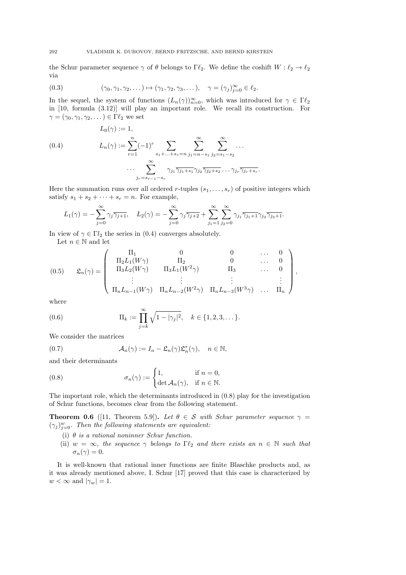the Schur parameter sequence  $\gamma$  of  $\theta$  belongs to Γ $\ell_2$ . We define the coshift  $W : \ell_2 \to \ell_2$ via

(0.3) 
$$
(\gamma_0, \gamma_1, \gamma_2, \dots) \mapsto (\gamma_1, \gamma_2, \gamma_3, \dots), \quad \gamma = (\gamma_j)_{j=0}^{\infty} \in \ell_2.
$$

In the sequel, the system of functions  $(L_n(\gamma))_{n=0}^{\infty}$ , which was introduced for  $\gamma \in \Gamma \ell_2$ in [10, formula (3.12)] will play an important role. We recall its construction. For  $\gamma = (\gamma_0, \gamma_1, \gamma_2, \dots) \in \Gamma \ell_2$  we set

$$
L_0(\gamma) := 1,
$$
\n
$$
(0.4) \qquad L_n(\gamma) := \sum_{r=1}^n (-1)^r \sum_{s_1 + \dots + s_r = n} \sum_{j_1 = n - s_1}^{\infty} \sum_{j_2 = s_1 - s_2}^{\infty} \dots
$$
\n
$$
\dots \sum_{j_r = s_{r-1} - s_r}^{\infty} \gamma_{j_1} \overline{\gamma_{j_1 + s_1}} \gamma_{j_2} \overline{\gamma_{j_2 + s_2}} \dots \gamma_{j_r} \overline{\gamma_{j_r + s_r}}.
$$

Here the summation runs over all ordered r-tuples  $(s_1, \ldots, s_r)$  of positive integers which satisfy  $s_1 + s_2 + \cdots + s_r = n$ . For example,

$$
L_1(\gamma) = -\sum_{j=0}^{\infty} \gamma_j \overline{\gamma_{j+1}}, \quad L_2(\gamma) = -\sum_{j=0}^{\infty} \gamma_j \overline{\gamma_{j+2}} + \sum_{j_1=1}^{\infty} \sum_{j_2=0}^{\infty} \gamma_{j_1} \overline{\gamma_{j_1+1}} \gamma_{j_2} \overline{\gamma_{j_2+1}}.
$$

In view of  $\gamma \in \Gamma l_2$  the series in (0.4) converges absolutely.

Let  $n\in\mathbb{N}$  and let

(0.5) 
$$
\mathfrak{L}_{n}(\gamma) = \begin{pmatrix} \Pi_{1} & 0 & 0 & \dots & 0 \\ \Pi_{2}L_{1}(W\gamma) & \Pi_{2} & 0 & \dots & 0 \\ \Pi_{3}L_{2}(W\gamma) & \Pi_{3}L_{1}(W^{2}\gamma) & \Pi_{3} & \dots & 0 \\ \vdots & \vdots & \vdots & \vdots & \vdots \\ \Pi_{n}L_{n-1}(W\gamma) & \Pi_{n}L_{n-2}(W^{2}\gamma) & \Pi_{n}L_{n-3}(W^{3}\gamma) & \dots & \Pi_{n} \end{pmatrix},
$$

where

(0.6) 
$$
\Pi_k := \prod_{j=k}^{\infty} \sqrt{1 - |\gamma_j|^2}, \quad k \in \{1, 2, 3, \dots\}.
$$

We consider the matrices

(0.7)  $\mathcal{A}_n(\gamma) := I_n - \mathfrak{L}_n(\gamma) \mathfrak{L}_n^*(\gamma), \quad n \in \mathbb{N},$ 

and their determinants

(0.8) 
$$
\sigma_n(\gamma) := \begin{cases} 1, & \text{if } n = 0, \\ \det \mathcal{A}_n(\gamma), & \text{if } n \in \mathbb{N}. \end{cases}
$$

The important role, which the determinants introduced in (0.8) play for the investigation of Schur functions, becomes clear from the following statement.

**Theorem 0.6** ([11, Theorem 5.9]). Let  $\theta \in S$  with Schur parameter sequence  $\gamma =$  $(\gamma_j)_{j=0}^w$ . Then the following statements are equivalent:

- (i)  $\theta$  is a rational noninner Schur function.
- (ii)  $w = \infty$ , the sequence  $\gamma$  belongs to  $\Gamma \ell_2$  and there exists an  $n \in \mathbb{N}$  such that  $\sigma_n(\gamma) = 0.$

It is well-known that rational inner functions are finite Blaschke products and, as it was already mentioned above, I. Schur [17] proved that this case is characterized by  $w < \infty$  and  $|\gamma_w| = 1$ .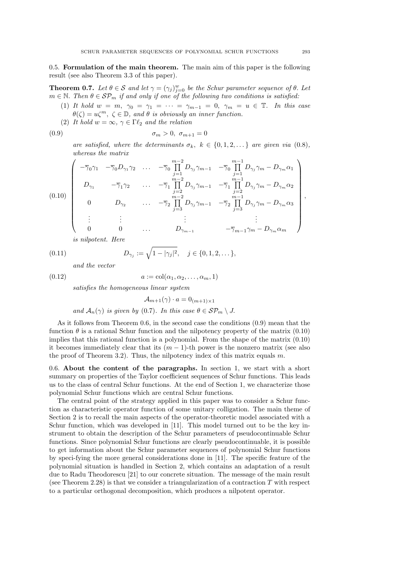0.5. Formulation of the main theorem. The main aim of this paper is the following result (see also Theorem 3.3 of this paper).

**Theorem 0.7.** Let  $\theta \in \mathcal{S}$  and let  $\gamma = (\gamma_j)_{j=0}^w$  be the Schur parameter sequence of  $\theta$ . Let  $m \in \mathbb{N}$ . Then  $\theta \in \mathcal{SP}_m$  if and only if one of the following two conditions is satisfied:

- (1) It hold  $w = m$ ,  $\gamma_0 = \gamma_1 = \cdots = \gamma_{m-1} = 0$ ,  $\gamma_m = u \in \mathbb{T}$ . In this case  $\theta(\zeta) = u\zeta^m, \ \zeta \in \mathbb{D}$ , and  $\theta$  is obviously an inner function.
- (2) It hold  $w = \infty$ ,  $\gamma \in \Gamma \ell_2$  and the relation

$$
\sigma_m > 0, \ \sigma_{m+1} = 0
$$

are satisfied, where the determinants  $\sigma_k$ ,  $k \in \{0, 1, 2, \ldots\}$  are given via  $(0.8)$ , whereas the matrix

$$
(0.10)
$$
\n
$$
\begin{pmatrix}\n-\overline{\gamma}_0 \gamma_1 & -\overline{\gamma}_0 D_{\gamma_1} \gamma_2 & \dots & -\overline{\gamma}_0 \prod_{j=1}^{m-2} D_{\gamma_j} \gamma_{m-1} & -\overline{\gamma}_0 \prod_{j=1}^{m-1} D_{\gamma_j} \gamma_m - D_{\gamma_m} \alpha_1 \\
D_{\gamma_1} & -\overline{\gamma}_1 \gamma_2 & \dots & -\overline{\gamma}_1 \prod_{j=2}^{m-2} D_{\gamma_j} \gamma_{m-1} & -\overline{\gamma}_1 \prod_{j=2}^{m-1} D_{\gamma_j} \gamma_m - D_{\gamma_m} \alpha_2 \\
0 & D_{\gamma_2} & \dots & -\overline{\gamma}_2 \prod_{j=3}^{m-2} D_{\gamma_j} \gamma_{m-1} & -\overline{\gamma}_2 \prod_{j=3}^{m-1} D_{\gamma_j} \gamma_m - D_{\gamma_m} \alpha_3 \\
\vdots & \vdots & \vdots & \vdots \\
0 & 0 & \dots & D_{\gamma_{m-1}} & -\overline{\gamma}_{m-1} \gamma_m - D_{\gamma_m} \alpha_m\n\end{pmatrix},
$$

is nilpotent. Here

(0.11) 
$$
D_{\gamma_j} := \sqrt{1 - |\gamma_j|^2}, \quad j \in \{0, 1, 2, \dots\},
$$

and the vector

$$
(0.12) \t\t a := \text{col}(\alpha_1, \alpha_2, \dots, \alpha_m, 1)
$$

satisfies the homogeneous linear system

$$
\mathcal{A}_{m+1}(\gamma) \cdot a = 0_{(m+1)\times 1}
$$
  
and  $\mathcal{A}_n(\gamma)$  is given by (0.7). In this case  $\theta \in \mathcal{SP}_m \setminus J$ .

As it follows from Theorem 0.6, in the second case the conditions (0.9) mean that the function  $\theta$  is a rational Schur function and the nilpotency property of the matrix (0.10) implies that this rational function is a polynomial. From the shape of the matrix  $(0.10)$ it becomes immediately clear that its  $(m - 1)$ -th power is the nonzero matrix (see also the proof of Theorem 3.2). Thus, the nilpotency index of this matrix equals m.

0.6. About the content of the paragraphs. In section 1, we start with a short summary on properties of the Taylor coefficient sequences of Schur functions. This leads us to the class of central Schur functions. At the end of Section 1, we characterize those polynomial Schur functions which are central Schur functions.

The central point of the strategy applied in this paper was to consider a Schur function as characteristic operator function of some unitary colligation. The main theme of Section 2 is to recall the main aspects of the operator-theoretic model associated with a Schur function, which was developed in [11]. This model turned out to be the key instrument to obtain the description of the Schur parameters of pseudocontinuable Schur functions. Since polynomial Schur functions are clearly pseudocontinuable, it is possible to get information about the Schur parameter sequences of polynomial Schur functions by speci-fying the more general considerations done in [11]. The specific feature of the polynomial situation is handled in Section 2, which contains an adaptation of a result due to Radu Theodorescu [21] to our concrete situation. The message of the main result (see Theorem 2.28) is that we consider a triangularization of a contraction  $T$  with respect to a particular orthogonal decomposition, which produces a nilpotent operator.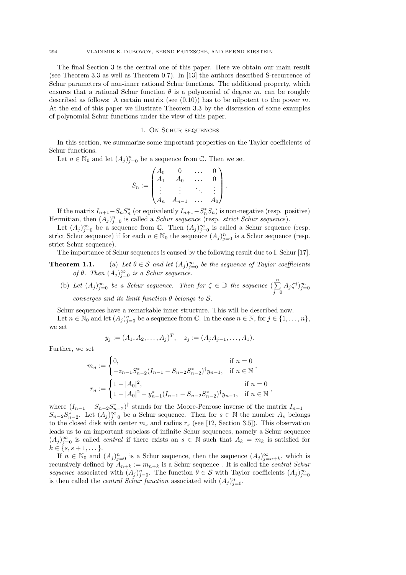The final Section 3 is the central one of this paper. Here we obtain our main result (see Theorem 3.3 as well as Theorem 0.7). In [13] the authors described S-recurrence of Schur parameters of non-inner rational Schur functions. The additional property, which ensures that a rational Schur function  $\theta$  is a polynomial of degree m, can be roughly described as follows: A certain matrix (see  $(0.10)$ ) has to be nilpotent to the power m. At the end of this paper we illustrate Theorem 3.3 by the discussion of some examples of polynomial Schur functions under the view of this paper.

## 1. On Schur sequences

In this section, we summarize some important properties on the Taylor coefficients of Schur functions.

Let  $n \in \mathbb{N}_0$  and let  $(A_j)_{j=0}^n$  be a sequence from  $\mathbb{C}$ . Then we set

$$
S_n := \begin{pmatrix} A_0 & 0 & \dots & 0 \\ A_1 & A_0 & \dots & 0 \\ \vdots & \vdots & \ddots & \vdots \\ A_n & A_{n-1} & \dots & A_0 \end{pmatrix}.
$$

If the matrix  $I_{n+1} - S_n S_n^*$  (or equivalently  $I_{n+1} - S_n^* S_n$ ) is non-negative (resp. positive) Hermitian, then  $(A_j)_{j=0}^n$  is called a *Schur sequence* (resp. *strict Schur sequence*).

Let  $(A_j)_{j=0}^{\infty}$  be a sequence from  $\mathbb{C}$ . Then  $(A_j)_{j=0}^{\infty}$  is called a Schur sequence (resp. strict Schur sequence) if for each  $n \in \mathbb{N}_0$  the sequence  $(A_j)_{j=0}^n$  is a Schur sequence (resp. strict Schur sequence).

The importance of Schur sequences is caused by the following result due to I. Schur [17].

**Theorem 1.1.** (a) Let  $\theta \in \mathcal{S}$  and let  $(A_j)_{j=0}^{\infty}$  be the sequence of Taylor coefficients of  $\theta$ . Then  $(A_j)_{j=0}^{\infty}$  is a Schur sequence.

(b) Let 
$$
(A_j)_{j=0}^{\infty}
$$
 be a Schur sequence. Then for  $\zeta \in \mathbb{D}$  the sequence  $(\sum_{j=0}^{n} A_j \zeta^j)_{j=0}^{\infty}$ 

converges and its limit function  $\theta$  belongs to  $\mathcal{S}$ .

Schur sequences have a remarkable inner structure. This will be described now.

Let  $n \in \mathbb{N}_0$  and let  $(A_j)_{j=0}^n$  be a sequence from  $\mathbb{C}$ . In the case  $n \in \mathbb{N}$ , for  $j \in \{1, \ldots, n\}$ , we set

$$
y_j := (A_1, A_2, \dots, A_j)^T, \quad z_j := (A_j A_{j-1}, \dots, A_1).
$$

Further, we set

$$
m_n := \begin{cases} 0, & \text{if } n = 0\\ -z_{n-1}S_{n-2}^*(I_{n-1} - S_{n-2}S_{n-2}^*)^{\dagger}y_{n-1}, & \text{if } n \in \mathbb{N} \end{cases},
$$
  

$$
r_n := \begin{cases} 1 - |A_0|^2, & \text{if } n = 0\\ 1 - |A_0|^2 - y_{n-1}^*(I_{n-1} - S_{n-2}S_{n-2}^*)^{\dagger}y_{n-1}, & \text{if } n \in \mathbb{N} \end{cases},
$$

where  $(I_{n-1} - S_{n-2}S_{n-2}^*)^{\dagger}$  stands for the Moore-Penrose inverse of the matrix  $I_{n-1}$  –  $S_{n-2}S_{n-2}^*$ . Let  $(A_j)_{j=0}^{\infty}$  be a Schur sequence. Then for  $s \in \mathbb{N}$  the number  $A_s$  belongs to the closed disk with center  $m_s$  and radius  $r_s$  (see [12, Section 3.5]). This observation leads us to an important subclass of infinite Schur sequences, namely a Schur sequence  $(A_j)_{j=0}^{\infty}$  is called *central* if there exists an  $s \in \mathbb{N}$  such that  $A_k = m_k$  is satisfied for  $k \in \{s, s+1, \dots\}.$ 

If  $n \in \mathbb{N}_0$  and  $(A_j)_{j=0}^n$  is a Schur sequence, then the sequence  $(A_j)_{j=n+k}^{\infty}$ , which is recursively defined by  $A_{n+k} := m_{n+k}$  is a Schur sequence. It is called the *central Schur* sequence associated with  $(A_j)_{j=0}^n$ . The function  $\theta \in \mathcal{S}$  with Taylor coefficients  $(A_j)_{j=0}^{\infty}$ is then called the *central Schur function* associated with  $(A_j)_{j=0}^n$ .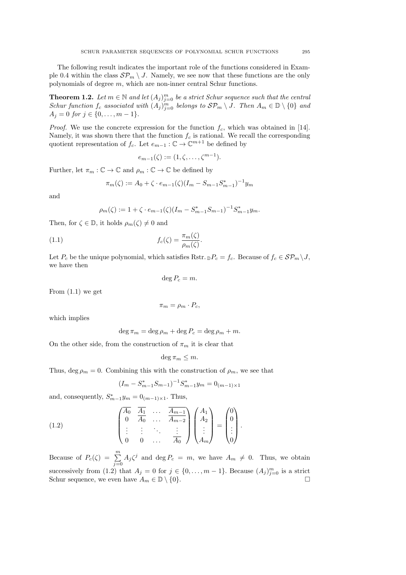The following result indicates the important role of the functions considered in Example 0.4 within the class  $\mathcal{SP}_m \setminus J$ . Namely, we see now that these functions are the only polynomials of degree m, which are non-inner central Schur functions.

**Theorem 1.2.** Let  $m \in \mathbb{N}$  and let  $(A_j)_{j=0}^m$  be a strict Schur sequence such that the central Schur function  $f_c$  associated with  $(A_j)_{j=0}^m$  belongs to  $\mathcal{SP}_m \setminus J$ . Then  $A_m \in \mathbb{D} \setminus \{0\}$  and  $A_j = 0$  for  $j \in \{0, \ldots, m-1\}.$ 

*Proof.* We use the concrete expression for the function  $f_c$ , which was obtained in [14]. Namely, it was shown there that the function  $f_c$  is rational. We recall the corresponding quotient representation of  $f_c$ . Let  $e_{m-1}$  :  $\mathbb{C} \to \mathbb{C}^{m+1}$  be defined by

$$
e_{m-1}(\zeta) := (1, \zeta, \ldots, \zeta^{m-1}).
$$

Further, let  $\pi_m : \mathbb{C} \to \mathbb{C}$  and  $\rho_m : \mathbb{C} \to \mathbb{C}$  be defined by

$$
\pi_m(\zeta) := A_0 + \zeta \cdot e_{m-1}(\zeta)(I_m - S_{m-1}S_{m-1}^*)^{-1}y_m
$$

and

$$
\rho_m(\zeta) := 1 + \zeta \cdot e_{m-1}(\zeta) (I_m - S_{m-1}^* S_{m-1})^{-1} S_{m-1}^* y_m.
$$

Then, for  $\zeta \in \mathbb{D}$ , it holds  $\rho_m(\zeta) \neq 0$  and

(1.1) 
$$
f_c(\zeta) = \frac{\pi_m(\zeta)}{\rho_m(\zeta)}.
$$

Let  $P_c$  be the unique polynomial, which satisfies Rstr.  $\mathbb{D}P_c = f_c$ . Because of  $f_c \in \mathcal{SP}_m \backslash J$ , we have then

$$
\deg P_c = m.
$$

From  $(1.1)$  we get

$$
\pi_m = \rho_m \cdot P_c,
$$

which implies

$$
\deg \pi_m = \deg \rho_m + \deg P_c = \deg \rho_m + m.
$$

On the other side, from the construction of  $\pi_m$  it is clear that

 $\deg \pi_m \leq m$ .

Thus, deg  $\rho_m = 0$ . Combining this with the construction of  $\rho_m$ , we see that

$$
(I_m - S_{m-1}^* S_{m-1})^{-1} S_{m-1}^* y_m = 0_{(m-1)\times 1}
$$

and, consequently,  $S_{m-1}^* y_m = 0_{(m-1)\times 1}$ . Thus,

(1.2) 
$$
\begin{pmatrix} A_0 & \overline{A_1} & \cdots & \overline{A_{m-1}} \\ 0 & A_0 & \cdots & \overline{A_{m-2}} \\ \vdots & \vdots & \ddots & \vdots \\ 0 & 0 & \cdots & A_0 \end{pmatrix} \begin{pmatrix} A_1 \\ A_2 \\ \vdots \\ A_m \end{pmatrix} = \begin{pmatrix} 0 \\ 0 \\ \vdots \\ 0 \end{pmatrix}.
$$

Because of  $P_c(\zeta) = \sum_{j=0}^{m} A_j \zeta^j$  and  $\deg P_c = m$ , we have  $A_m \neq 0$ . Thus, we obtain successively from (1.2) that  $A_j = 0$  for  $j \in \{0, ..., m-1\}$ . Because  $(A_j)_{j=0}^m$  is a strict Schur sequence, we even have  $A_m \in \mathbb{D} \setminus \{0\}.$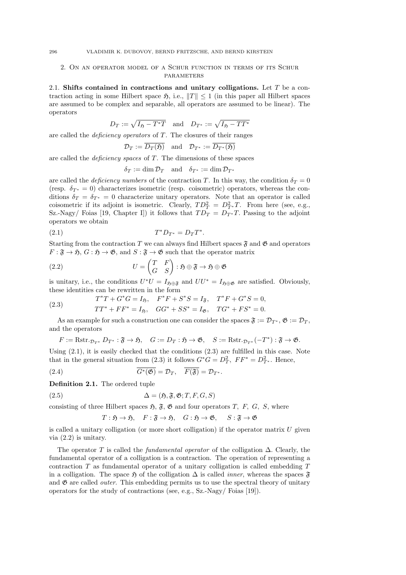## 2. On an operator model of a Schur function in terms of its Schur **PARAMETERS**

2.1. Shifts contained in contractions and unitary colligations. Let  $T$  be a contraction acting in some Hilbert space  $\mathfrak{H}$ , i.e.,  $||T|| \leq 1$  (in this paper all Hilbert spaces are assumed to be complex and separable, all operators are assumed to be linear). The operators

$$
D_T := \sqrt{I_{\mathfrak{H}} - T^*T} \quad \text{and} \quad D_{T^*} := \sqrt{I_{\mathfrak{H}} - TT^*}
$$

are called the *deficiency operators* of  $T$ . The closures of their ranges

$$
\mathcal{D}_T := D_T(\mathfrak{H}) \quad \text{and} \quad \mathcal{D}_{T^*} := D_{T^*}(\mathfrak{H})
$$

are called the *deficiency spaces* of  $T$ . The dimensions of these spaces

$$
\delta_T := \dim \mathcal{D}_T \quad \text{and} \quad \delta_{T^*} := \dim \mathcal{D}_{T^*}
$$

are called the *deficiency numbers* of the contraction T. In this way, the condition  $\delta_T = 0$ (resp.  $\delta_{T^*} = 0$ ) characterizes isometric (resp. coisometric) operators, whereas the conditions  $\delta_T = \delta_{T^*} = 0$  characterize unitary operators. Note that an operator is called coisometric if its adjoint is isometric. Clearly,  $TD_T^2 = D_{T^*}^2 T$ . From here (see, e.g., Sz.-Nagy/ Foias [19, Chapter I]) it follows that  $TD_T = D_{T^*}T$ . Passing to the adjoint operators we obtain

(2.1) 
$$
T^*D_{T^*} = D_T T^*.
$$

Starting from the contraction T we can always find Hilbert spaces  $\mathfrak{F}$  and  $\mathfrak{G}$  and operators  $F: \mathfrak{F} \to \mathfrak{H}, G: \mathfrak{H} \to \mathfrak{G}$ , and  $S: \mathfrak{F} \to \mathfrak{G}$  such that the operator matrix

(2.2) 
$$
U = \begin{pmatrix} T & F \\ G & S \end{pmatrix} : \mathfrak{H} \oplus \mathfrak{F} \to \mathfrak{H} \oplus \mathfrak{G}
$$

is unitary, i.e., the conditions  $U^*U = I_{\mathfrak{H}\oplus\mathfrak{F}}$  and  $UU^* = I_{\mathfrak{H}\oplus\mathfrak{G}}$  are satisfied. Obviously, these identities can be rewritten in the form

(2.3) 
$$
T^*T + G^*G = I_{\mathfrak{H}}, \quad F^*F + S^*S = I_{\mathfrak{F}}, \quad T^*F + G^*S = 0,
$$

$$
TT^* + FF^* = I_{\mathfrak{H}}, \quad GG^* + SS^* = I_{\mathfrak{G}}, \quad TG^* + FS^* = 0.
$$

As an example for such a construction one can consider the spaces  $\mathfrak{F} := \mathcal{D}_{T^*}, \mathfrak{G} := \mathcal{D}_T$ , and the operators

$$
F := \text{Rstr.}_{\mathcal{D}_{T^*}} D_{T^*} : \mathfrak{F} \to \mathfrak{H}, \quad G := D_T : \mathfrak{H} \to \mathfrak{G}, \quad S := \text{Rstr.}_{\mathcal{D}_{T^*}}(-T^*) : \mathfrak{F} \to \mathfrak{G}.
$$

Using  $(2.1)$ , it is easily checked that the conditions  $(2.3)$  are fulfilled in this case. Note that in the general situation from (2.3) it follows  $G^*G = D_T^2$ ,  $FF^* = D_{T^*}^2$ . Hence,

(2.4) 
$$
\overline{G^*(\mathfrak{G})} = \mathcal{D}_T, \quad \overline{F(\mathfrak{F})} = \mathcal{D}_{T^*}.
$$

Definition 2.1. The ordered tuple

(2.5) 
$$
\Delta = (\mathfrak{H}, \mathfrak{F}, \mathfrak{G}; T, F, G, S)
$$

consisting of three Hilbert spaces  $\mathfrak{H}, \mathfrak{F}, \mathfrak{G}$  and four operators T, F, G, S, where

$$
T : \mathfrak{H} \to \mathfrak{H}, \quad F : \mathfrak{F} \to \mathfrak{H}, \quad G : \mathfrak{H} \to \mathfrak{G}, \quad S : \mathfrak{F} \to \mathfrak{G}
$$

is called a unitary colligation (or more short colligation) if the operator matrix  $U$  given via (2.2) is unitary.

The operator T is called the *fundamental operator* of the colligation  $\Delta$ . Clearly, the fundamental operator of a colligation is a contraction. The operation of representing a contraction  $T$  as fundamental operator of a unitary colligation is called embedding  $T$ in a colligation. The space  $\mathfrak{H}$  of the colligation  $\Delta$  is called *inner*, whereas the spaces  $\mathfrak{F}$ and  $\mathfrak{G}$  are called *outer*. This embedding permits us to use the spectral theory of unitary operators for the study of contractions (see, e.g., Sz.-Nagy/ Foias [19]).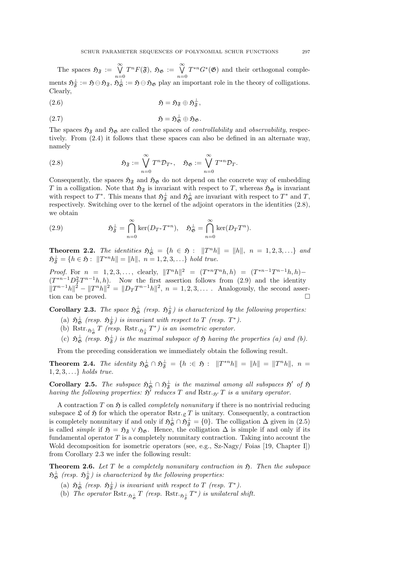The spaces  $\mathfrak{H}_{\mathfrak{F}} := \bigvee_{n=0}^{\infty}$  $T^nF(\mathfrak{F}), \ \mathfrak{H}_\mathfrak{G} \ := \ \bigvee_{n=0}^\infty$  $T^{n}G^{*}(\mathfrak{G})$  and their orthogonal complements  $\mathfrak{H}_{\mathfrak{F}}^{\perp} := \mathfrak{H} \ominus \mathfrak{H}_{\mathfrak{F}}, \mathfrak{H}_{\mathfrak{G}}^{\perp} := \mathfrak{H} \ominus \mathfrak{H}_{\mathfrak{G}}$  play an important role in the theory of colligations. Clearly,

$$
\mathfrak{H} = \mathfrak{H}_{\mathfrak{F}} \oplus \mathfrak{H}_{\mathfrak{F}}^{\perp}.
$$

$$
\mathfrak{H}=\mathfrak{H}_{\mathfrak{G}}^{\perp}\oplus\mathfrak{H}_{\mathfrak{G}}.
$$

The spaces  $\mathfrak{H}_{\mathfrak{F}}$  and  $\mathfrak{H}_{\mathfrak{G}}$  are called the spaces of *controllability* and *observability*, respectively. From (2.4) it follows that these spaces can also be defined in an alternate way, namely

(2.8) 
$$
\mathfrak{H}_{\mathfrak{F}} := \bigvee_{n=0}^{\infty} T^n \mathcal{D}_{T^*}, \quad \mathfrak{H}_{\mathfrak{G}} := \bigvee_{n=0}^{\infty} T^{*n} \mathcal{D}_T.
$$

Consequently, the spaces  $\mathfrak{H}_{\mathfrak{F}}$  and  $\mathfrak{H}_{\mathfrak{G}}$  do not depend on the concrete way of embedding T in a colligation. Note that  $\mathfrak{H}_{\mathfrak{F}}$  is invariant with respect to T, whereas  $\mathfrak{H}_{\mathfrak{G}}$  is invariant with respect to  $T^*$ . This means that  $\mathfrak{H}_{\mathfrak{F}}^{\perp}$  and  $\mathfrak{H}_{\mathfrak{G}}^{\perp}$  are invariant with respect to  $T^*$  and  $T$ , respectively. Switching over to the kernel of the adjoint operators in the identities (2.8), we obtain

(2.9) 
$$
\mathfrak{H}_{\mathfrak{F}}^{\perp} = \bigcap_{n=0}^{\infty} \ker(D_{T^*} T^{*n}), \quad \mathfrak{H}_{\mathfrak{G}}^{\perp} = \bigcap_{n=0}^{\infty} \ker(D_T T^n).
$$

**Theorem 2.2.** The identities  $\mathfrak{H}_{\mathfrak{G}}^{\perp} = \{h \in \mathfrak{H} : ||T^n h|| = ||h||, n = 1, 2, 3, \ldots\}$  and  $\mathfrak{H}_{\mathfrak{F}}^{\perp} = \{h \in \mathfrak{H} : ||T^{*n}h|| = ||h||, n = 1, 2, 3, \ldots\}$  hold true.

*Proof.* For  $n = 1, 2, 3, \ldots$ , clearly,  $||T^n h||^2 = (T^{*n}T^n h, h) = (T^{*n-1}T^{n-1}h, h)$  $(T^{*n-1}D_T^2T^{n-1}h, h)$ . Now the first assertion follows from (2.9) and the identity  $||T^{n-1}h||^2 - ||T^n h||^2 = ||D_T T^{n-1}h||^2$ ,  $n = 1, 2, 3, \dots$ . Analogously, the second assertion can be proved.

**Corollary 2.3.** The space  $\mathfrak{H}_{\mathfrak{G}}^{\perp}$  (resp.  $\mathfrak{H}_{\mathfrak{F}}^{\perp}$ ) is characterized by the following properties:

- (a)  $\mathfrak{H}_{\mathfrak{G}}^{\perp}$  (resp.  $\mathfrak{H}_{\mathfrak{F}}^{\perp}$ ) is invariant with respect to T (resp.  $T^*$ ).
- (b) Rstr. $\mathfrak{H}_{\mathfrak{G}}^{\perp}T$  (resp. Rstr. $\mathfrak{H}_{\mathfrak{F}}^{\perp}T^*$ ) is an isometric operator.
- (c)  $\mathfrak{H}_{\mathfrak{G}}^{\perp}$  (resp.  $\mathfrak{H}_{\mathfrak{F}}^{\perp}$ ) is the maximal subspace of  $\mathfrak{H}$  having the properties (a) and (b).

From the preceding consideration we immediately obtain the following result.

Theorem 2.4. The identity  $\mathfrak{H}_{\mathfrak{G}}^{\perp} \cap \mathfrak{H}_{\mathfrak{F}}^{\perp} = \{h : \in \mathfrak{H} : ||T^{*n}h|| = ||h|| = ||T^n h||, n =$  $1, 2, 3, \ldots\}$  holds true.

Corollary 2.5. The subspace  $5\frac{1}{8} \cap 5\frac{1}{8}$  is the maximal among all subspaces  $5'$  of  $5$ having the following properties:  $\mathfrak{H}'$  reduces T and Rstr. $\mathfrak{H}'$  is a unitary operator.

A contraction T on  $\mathfrak H$  is called *completely nonunitary* if there is no nontrivial reducing subspace  $\mathfrak L$  of  $\mathfrak H$  for which the operator Rstr.  $\mathfrak L T$  is unitary. Consequently, a contraction is completely nonunitary if and only if  $\mathfrak{H}_{\mathfrak{G}}^{\perp} \cap \mathfrak{H}_{\mathfrak{F}}^{\perp} = \{0\}$ . The colligation  $\Delta$  given in  $(2.5)$ is called *simple* if  $\mathfrak{H} = \mathfrak{H}_{\mathfrak{F}} \vee \mathfrak{H}_{\mathfrak{G}}$ . Hence, the colligation  $\Delta$  is simple if and only if its fundamental operator  $T$  is a completely nonunitary contraction. Taking into account the Wold decomposition for isometric operators (see, e.g., Sz-Nagy/ Foias [19, Chapter I]) from Corollary 2.3 we infer the following result:

**Theorem 2.6.** Let T be a completely nonunitary contraction in  $\mathfrak{H}$ . Then the subspace  $\mathfrak{H}^{\perp}_{\mathfrak{G}}$  (resp.  $\mathfrak{H}^{\perp}_{\mathfrak{F}}$ ) is characterized by the following properties:

- (a)  $\mathfrak{H}_{\mathfrak{G}}^{\perp}$  (resp.  $\mathfrak{H}_{\mathfrak{F}}^{\perp}$ ) is invariant with respect to T (resp. T\*).
- (b) The operator Rstr. $_{\mathfrak{H}_{\mathfrak{S}}^{\perp}} T$  (resp. Rstr. $_{\mathfrak{H}_{\mathfrak{F}}^{\perp}} T^*$ ) is unilateral shift.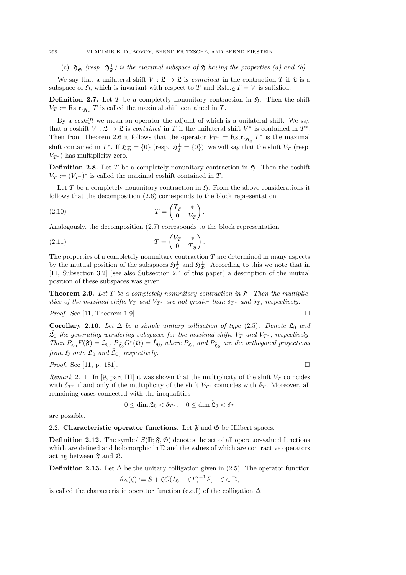(c)  $\mathfrak{H}_{\mathfrak{G}}^{\perp}$  (resp.  $\mathfrak{H}_{\mathfrak{F}}^{\perp}$ ) is the maximal subspace of  $\mathfrak{H}$  having the properties (a) and (b).

We say that a unilateral shift  $V : \mathfrak{L} \to \mathfrak{L}$  is *contained* in the contraction T if  $\mathfrak{L}$  is a subspace of  $\mathfrak{H}$ , which is invariant with respect to T and Rstr.  $T = V$  is satisfied.

**Definition 2.7.** Let T be a completely nonunitary contraction in  $\mathfrak{H}$ . Then the shift  $V_T := \text{Rstr.}_{\mathfrak{H}^{\perp}_{\mathfrak{G}}} T$  is called the maximal shift contained in T.

By a coshift we mean an operator the adjoint of which is a unilateral shift. We say that a coshift  $\tilde{V} : \tilde{\mathfrak{L}} \to \tilde{\mathfrak{L}}$  is contained in T if the unilateral shift  $\tilde{V}^*$  is contained in  $T^*$ . Then from Theorem 2.6 it follows that the operator  $V_{T^*} = \text{Rstr.}_{\mathfrak{H}^+_S}T^*$  is the maximal shift contained in  $T^*$ . If  $\mathfrak{H}_{\mathfrak{G}}^{\perp} = \{0\}$  (resp.  $\mathfrak{H}_{\mathfrak{F}}^{\perp} = \{0\}$ ), we will say that the shift  $V_T$  (resp.  $V_{T^*}$ ) has multiplicity zero.

**Definition 2.8.** Let T be a completely nonunitary contraction in  $\mathfrak{H}$ . Then the coshift  $\tilde{V}_T := (V_{T^*})^*$  is called the maximal coshift contained in T.

Let T be a completely nonunitary contraction in  $\mathfrak{H}$ . From the above considerations it follows that the decomposition (2.6) corresponds to the block representation

(2.10) 
$$
T = \begin{pmatrix} T_{\mathfrak{F}} & * \\ 0 & \tilde{V}_T \end{pmatrix}.
$$

Analogously, the decomposition (2.7) corresponds to the block representation

(2.11) 
$$
T = \begin{pmatrix} V_T & * \\ 0 & T_{\mathfrak{G}} \end{pmatrix}.
$$

The properties of a completely nonunitary contraction  $T$  are determined in many aspects by the mutual position of the subspaces  $\mathfrak{H}^{\perp}_{\mathfrak{F}}$  and  $\mathfrak{H}^{\perp}_{\mathfrak{G}}$ . According to this we note that in [11, Subsection 3.2] (see also Subsection 2.4 of this paper) a description of the mutual position of these subspaces was given.

**Theorem 2.9.** Let T be a completely nonunitary contraction in  $\mathfrak{H}$ . Then the multiplicities of the maximal shifts  $V_T$  and  $V_{T^*}$  are not greater than  $\delta_{T^*}$  and  $\delta_T$ , respectively.

*Proof.* See [11, Theorem 1.9].

Corollary 2.10. Let  $\Delta$  be a simple unitary colligation of type (2.5). Denote  $\mathfrak{L}_0$  and  $\tilde{\mathfrak{L}}_0$  the generating wandering subspaces for the maximal shifts  $V_T$  and  $V_{T^*}$ , respectively. Then  $\overline{P_{\mathfrak{L}_{0}}F(\mathfrak{F})} = \mathfrak{L}_{0}$ ,  $\overline{P_{\tilde{\mathfrak{L}}_{0}}G^{*}(\mathfrak{G})} = \tilde{L}_{0}$ , where  $P_{\mathfrak{L}_{0}}$  and  $P_{\tilde{\mathfrak{L}}_{0}}$  are the orthogonal projections from  $\mathfrak H$  onto  $\mathfrak L_0$  and  $\tilde{\mathfrak L}_0$ , respectively.

*Proof.* See [11, p. 181].

Remark 2.11. In [9, part III] it was shown that the multiplicity of the shift  $V_T$  coincides with  $\delta_{T^*}$  if and only if the multiplicity of the shift  $V_{T^*}$  coincides with  $\delta_T$ . Moreover, all remaining cases connected with the inequalities

 $0 \leq \dim \mathfrak{L}_0 < \delta_{T^*}, \quad 0 \leq \dim \tilde{\mathfrak{L}}_0 < \delta_T$ 

are possible.

2.2. Characteristic operator functions. Let  $\mathfrak F$  and  $\mathfrak G$  be Hilbert spaces.

**Definition 2.12.** The symbol  $S(\mathbb{D}; \mathfrak{F}, \mathfrak{G})$  denotes the set of all operator-valued functions which are defined and holomorphic in  $\mathbb D$  and the values of which are contractive operators acting between  $\mathfrak{F}$  and  $\mathfrak{G}$ .

**Definition 2.13.** Let  $\Delta$  be the unitary colligation given in (2.5). The operator function

$$
\theta_{\Delta}(\zeta) := S + \zeta G (I_{\mathfrak{H}} - \zeta T)^{-1} F, \quad \zeta \in \mathbb{D},
$$

is called the characteristic operator function (c.o.f) of the colligation  $\Delta$ .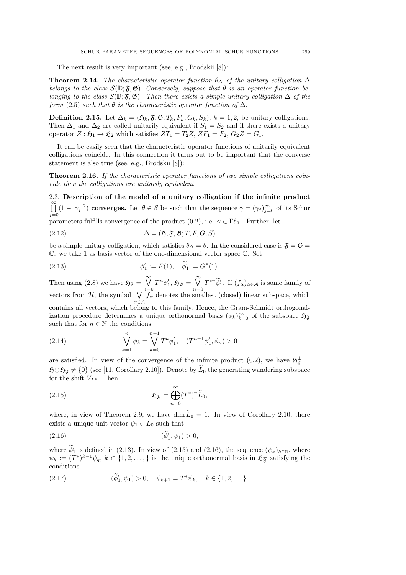The next result is very important (see, e.g., Brodskii [8]):

**Theorem 2.14.** The characteristic operator function  $\theta_{\Delta}$  of the unitary colligation  $\Delta$ belongs to the class  $S(\mathbb{D}; \mathfrak{F}, \mathfrak{G})$ . Conversely, suppose that  $\theta$  is an operator function belonging to the class  $S(\mathbb{D}; \mathfrak{F}, \mathfrak{G})$ . Then there exists a simple unitary colligation  $\Delta$  of the form (2.5) such that  $\theta$  is the characteristic operator function of  $\Delta$ .

**Definition 2.15.** Let  $\Delta_k = (\mathfrak{H}_k, \mathfrak{F}, \mathfrak{G}; T_k, F_k, G_k, S_k), k = 1, 2$ , be unitary colligations. Then  $\Delta_1$  and  $\Delta_2$  are called unitarily equivalent if  $S_1 = S_2$  and if there exists a unitary operator  $Z : \mathfrak{H}_1 \to \mathfrak{H}_2$  which satisfies  $ZT_1 = T_2Z$ ,  $ZF_1 = F_2$ ,  $G_2Z = G_1$ .

It can be easily seen that the characteristic operator functions of unitarily equivalent colligations coincide. In this connection it turns out to be important that the converse statement is also true (see, e.g., Brodskii [8]):

**Theorem 2.16.** If the characteristic operator functions of two simple colligations coincide then the colligations are unitarily equivalent.

2.3. Description of the model of a unitary colligation if the infinite product  $\sum_{i=1}^{\infty}$  $\prod_{j=0} (1 - |\gamma_j|^2)$  converges. Let  $\theta \in \mathcal{S}$  be such that the sequence  $\gamma = (\gamma_j)_{j=0}^{\infty}$  of its Schur parameters fulfills convergence of the product (0.2), i.e.  $\gamma \in \Gamma \ell_2$ . Further, let

(2.12) 
$$
\Delta = (\mathfrak{H}, \mathfrak{F}, \mathfrak{G}; T, F, G, S)
$$

be a simple unitary colligation, which satisfies  $\theta_{\Delta} = \theta$ . In the considered case is  $\mathfrak{F} = \mathfrak{G} =$ C. we take 1 as basis vector of the one-dimensional vector space C. Set

(2.13) 
$$
\phi'_1 := F(1), \quad \widetilde{\phi}'_1 := G^*(1).
$$

Then using (2.8) we have  $\mathfrak{H}_{\mathfrak{F}} = \bigvee^{\infty}$  $n=0$  $T^n\phi'_1, \, \mathfrak{H}_\mathfrak{G} = \, \bigvee^\infty$  $n=0$  $T^{*n}\widetilde{\phi}_1'$ . If  $(f_\alpha)_{\alpha\in\mathcal{A}}$  is some family of vectors from  $H$ , the symbol  $\forall$  $\bigvee_{\alpha \in \mathcal{A}} f_{\alpha}$  denotes the smallest (closed) linear subspace, which contains all vectors, which belong to this family. Hence, the Gram-Schmidt orthogonalization procedure determines a unique orthonormal basis  $(\phi_k)_{k=0}^{\infty}$  of the subspace  $\mathfrak{H}_{\mathfrak{F}}$ such that for  $n \in \mathbb{N}$  the conditions

(2.14) 
$$
\bigvee_{k=1}^{n} \phi_k = \bigvee_{k=0}^{n-1} T^k \phi'_1, \quad (T^{n-1} \phi'_1, \phi_n) > 0
$$

are satisfied. In view of the convergence of the infinite product (0.2), we have  $\mathfrak{H}^{\perp}_{\mathfrak{F}}=$  $\mathfrak{H}\ominus\mathfrak{H}_{\mathfrak{F}}\neq\{0\}$  (see [11, Corollary 2.10]). Denote by  $\widetilde{L}_0$  the generating wandering subspace for the shift  $V_{T^*}$ . Then

(2.15) 
$$
\mathfrak{H}_{\mathfrak{F}}^{\perp} = \bigoplus_{n=0}^{\infty} (T^*)^n \widetilde{L}_0,
$$

where, in view of Theorem 2.9, we have dim  $\widetilde{L}_0 = 1$ . In view of Corollary 2.10, there exists a unique unit vector  $\psi_1 \in L_0$  such that

$$
(2.16) \qquad (\widetilde{\phi}'_1, \psi_1) > 0,
$$

where  $\phi'_{1}$  is defined in (2.13). In view of (2.15) and (2.16), the sequence  $(\psi_{k})_{k\in\mathbb{N}}$ , where  $\psi_k := (T^*)^{k-1} \psi_q, k \in \{1, 2, \ldots, \}$  is the unique orthonormal basis in  $\mathfrak{H}_{\mathfrak{F}}^{\perp}$  satisfying the conditions

(2.17) 
$$
(\widetilde{\phi}'_1, \psi_1) > 0, \quad \psi_{k+1} = T^* \psi_k, \quad k \in \{1, 2, \dots\}.
$$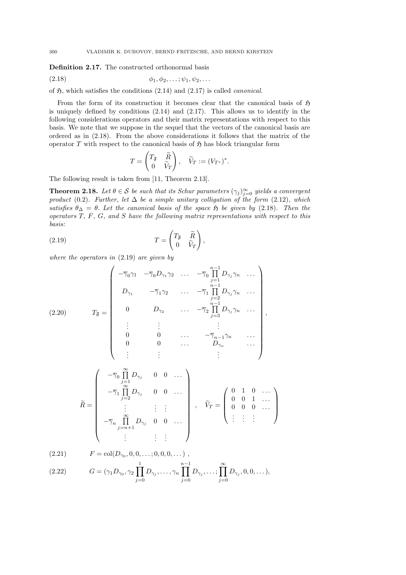# Definition 2.17. The constructed orthonormal basis

(2.18) 
$$
\phi_1, \phi_2, \ldots; \psi_1, \psi_2, \ldots
$$

of  $\mathfrak{H}$ , which satisfies the conditions (2.14) and (2.17) is called *canonical*.

From the form of its construction it becomes clear that the canonical basis of  $\mathfrak{H}$ is uniquely defined by conditions (2.14) and (2.17). This allows us to identify in the following considerations operators and their matrix representations with respect to this basis. We note that we suppose in the sequel that the vectors of the canonical basis are ordered as in (2.18). From the above considerations it follows that the matrix of the operator  $T$  with respect to the canonical basis of  $\mathfrak H$  has block triangular form

$$
T = \begin{pmatrix} T_{\mathfrak{F}} & \widetilde{R} \\ 0 & \widetilde{V}_T \end{pmatrix}, \quad \widetilde{V}_T := (V_{T^*})^*.
$$

The following result is taken from [11, Theorem 2.13].

**Theorem 2.18.** Let  $\theta \in \mathcal{S}$  be such that its Schur parameters  $(\gamma_j)_{j=0}^{\infty}$  yields a convergent product (0.2). Further, let  $\Delta$  be a simple unitary colligation of the form (2.12), which satisfies  $\theta_{\Delta} = \theta$ . Let the canonical basis of the space  $\mathfrak H$  be given by (2.18). Then the operators  $T, F, G$ , and  $S$  have the following matrix representations with respect to this basis:  $\overline{a}$  $\sim$ 

(2.19) 
$$
T = \begin{pmatrix} T_{\mathfrak{F}} & \tilde{R} \\ 0 & \tilde{V}_T \end{pmatrix},
$$

where the operators in  $(2.19)$  are given by

$$
(2.20) \t T_{\mathfrak{F}} = \begin{pmatrix} -\overline{\gamma}_{0}\gamma_{1} & -\overline{\gamma}_{0}D_{\gamma_{1}}\gamma_{2} & \dots & -\overline{\gamma}_{0}\prod_{j=1}^{n-1}D_{\gamma_{j}}\gamma_{n} & \dots \\ D_{\gamma_{1}} & -\overline{\gamma}_{1}\gamma_{2} & \dots & -\overline{\gamma}_{1}\prod_{j=2}^{n-1}D_{\gamma_{j}}\gamma_{n} & \dots \\ 0 & D_{\gamma_{2}} & \dots & -\overline{\gamma}_{2}\prod_{j=3}^{n-1}D_{\gamma_{j}}\gamma_{n} & \dots \\ \vdots & \vdots & \vdots & \vdots \\ 0 & 0 & \dots & -\overline{\gamma}_{n-1}\gamma_{n} & \dots \\ \vdots & \vdots & \vdots & \vdots & \vdots \\ \end{pmatrix},
$$
  

$$
\widetilde{R} = \begin{pmatrix} -\overline{\gamma}_{0}\prod_{j=1}^{\infty}D_{\gamma_{j}} & 0 & 0 & \dots \\ -\overline{\gamma}_{1}\prod_{j=2}^{\infty}D_{\gamma_{j}} & 0 & 0 & \dots \\ -\overline{\gamma}_{n}\prod_{j=2}^{\infty}D_{\gamma_{j}} & 0 & 0 & \dots \\ \vdots & \vdots & \vdots & \vdots \\ -\overline{\gamma}_{n}\prod_{j=n+1}^{\infty}D_{\gamma_{j}} & 0 & 0 & \dots \\ \vdots & \vdots & \vdots & \vdots \end{pmatrix}, \quad \widetilde{V}_{T} = \begin{pmatrix} 0 & 1 & 0 & \dots \\ 0 & 0 & 1 & \dots \\ 0 & 0 & 0 & \dots \\ \vdots & \vdots & \vdots & \vdots \end{pmatrix}
$$

(2.21) 
$$
F = \text{col}(D_{\gamma_0}, 0, 0, \dots; 0, 0, 0, \dots) ,
$$

(2.22) 
$$
G = (\gamma_1 D_{\gamma_0}, \gamma_2 \prod_{j=0}^1 D_{\gamma_j}, \dots, \gamma_n \prod_{j=0}^{n-1} D_{\gamma_j}, \dots; \prod_{j=0}^{\infty} D_{\gamma_j}, 0, 0, \dots),
$$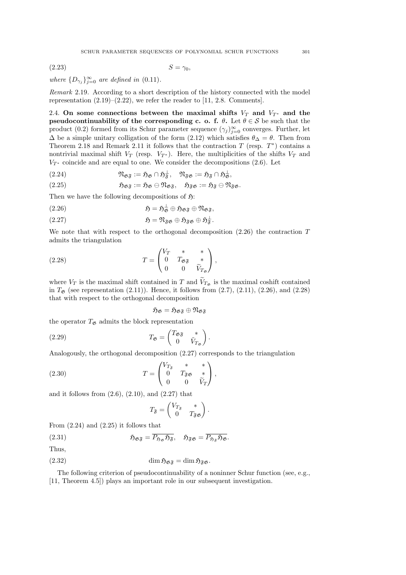$$
(2.23) \t\t S = \gamma_0,
$$

where  $\{D_{\gamma_j}\}_{j=0}^{\infty}$  are defined in (0.11).

Remark 2.19. According to a short description of the history connected with the model representation  $(2.19)$ – $(2.22)$ , we refer the reader to [11, 2.8. Comments].

2.4. On some connections between the maximal shifts  $V_T$  and  $V_{T^*}$  and the pseudocontinuability of the corresponding c. o. f.  $\theta$ . Let  $\theta \in \mathcal{S}$  be such that the product (0.2) formed from its Schur parameter sequence  $(\gamma_j)_{j=0}^{\infty}$  converges. Further, let  $\Delta$  be a simple unitary colligation of the form (2.12) which satisfies  $\theta_{\Delta} = \theta$ . Then from Theorem 2.18 and Remark 2.11 it follows that the contraction  $T$  (resp.  $T^*$ ) contains a nontrivial maximal shift  $V_T$  (resp.  $V_{T^*}$ ). Here, the multiplicities of the shifts  $V_T$  and  $V_{T^*}$  coincide and are equal to one. We consider the decompositions (2.6). Let

(2.24) 
$$
\mathfrak{N}_{\mathfrak{G}\mathfrak{F}} := \mathfrak{H}_{\mathfrak{G}} \cap \mathfrak{H}_{\mathfrak{F}}^{\perp}, \quad \mathfrak{N}_{\mathfrak{F}\mathfrak{G}} := \mathfrak{H}_{\mathfrak{F}} \cap \mathfrak{H}_{\mathfrak{G}}^{\perp},
$$

(2.25) 
$$
\mathfrak{H}_{\mathfrak{G}\mathfrak{F}} := \mathfrak{H}_{\mathfrak{G}} \oplus \mathfrak{N}_{\mathfrak{G}\mathfrak{F}}, \quad \mathfrak{H}_{\mathfrak{F}\mathfrak{G}} := \mathfrak{H}_{\mathfrak{F}} \oplus \mathfrak{N}_{\mathfrak{F}\mathfrak{G}}.
$$

Then we have the following decompositions of  $\mathfrak{H}$ :

(2.26) 
$$
\mathfrak{H} = \mathfrak{H}_{\mathfrak{G}}^{\perp} \oplus \mathfrak{H}_{\mathfrak{G} \mathfrak{F}} \oplus \mathfrak{N}_{\mathfrak{G} \mathfrak{F}},
$$

(2.27) 
$$
\mathfrak{H} = \mathfrak{N}_{\mathfrak{F} \mathfrak{G}} \oplus \mathfrak{H}_{\mathfrak{F} \mathfrak{G}} \oplus \mathfrak{H}_{\mathfrak{F}}^{\perp}.
$$

We note that with respect to the orthogonal decomposition  $(2.26)$  the contraction T admits the triangulation

(2.28) 
$$
T = \begin{pmatrix} V_T & * & * \\ 0 & T_{\mathfrak{G}\mathfrak{F}} & * \\ 0 & 0 & \widetilde{V}_{T_{\mathfrak{G}}}\end{pmatrix},
$$

where  $V_T$  is the maximal shift contained in T and  $V_{T_{\mathfrak{G}}}$  is the maximal coshift contained in  $T_{\mathfrak{G}}$  (see representation (2.11)). Hence, it follows from (2.7), (2.11), (2.26), and (2.28) that with respect to the orthogonal decomposition

$$
\mathfrak{H}_\mathfrak{G} = \mathfrak{H}_{\mathfrak{G} \mathfrak{F}} \oplus \mathfrak{N}_{\mathfrak{G} \mathfrak{F}}
$$

the operator  $T_{\mathfrak{G}}$  admits the block representation

(2.29) 
$$
T_{\mathfrak{G}} = \begin{pmatrix} T_{\mathfrak{G}\mathfrak{F}} & * \\ 0 & \tilde{V}_{T_{\mathfrak{G}}}\end{pmatrix}.
$$

Analogously, the orthogonal decomposition (2.27) corresponds to the triangulation

(2.30) 
$$
T = \begin{pmatrix} V_{T_{\mathfrak{F}}} & * & * \\ 0 & T_{\mathfrak{F}\mathfrak{G}} & * \\ 0 & 0 & \widetilde{V}_T \end{pmatrix},
$$

and it follows from  $(2.6)$ ,  $(2.10)$ , and  $(2.27)$  that

$$
T_{\mathfrak{F}} = \begin{pmatrix} V_{T_{\mathfrak{F}}} & * \\ 0 & T_{\mathfrak{F} \mathfrak{G}} \end{pmatrix}.
$$

From  $(2.24)$  and  $(2.25)$  it follows that

(2.31) 
$$
\mathfrak{H}_{\mathfrak{G}\mathfrak{F}} = \overline{P_{\mathfrak{H}_{\mathfrak{G}}}\mathfrak{H}_{\mathfrak{F}}}, \quad \mathfrak{H}_{\mathfrak{F}\mathfrak{G}} = \overline{P_{\mathfrak{H}_{\mathfrak{F}}}\mathfrak{H}_{\mathfrak{G}}}.
$$

Thus,

(2.32) 
$$
\dim \mathfrak{H}_{\mathfrak{G}\mathfrak{F}} = \dim \mathfrak{H}_{\mathfrak{F}\mathfrak{G}}.
$$

The following criterion of pseudocontinuability of a noninner Schur function (see, e.g., [11, Theorem 4.5]) plays an important role in our subsequent investigation.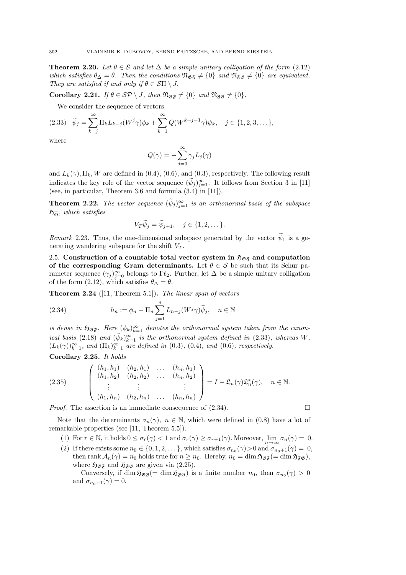**Theorem 2.20.** Let  $\theta \in \mathcal{S}$  and let  $\Delta$  be a simple unitary colligation of the form (2.12) which satisfies  $\theta_{\Delta} = \theta$ . Then the conditions  $\mathfrak{N}_{\mathfrak{G} \mathfrak{F}} \neq \{0\}$  and  $\mathfrak{N}_{\mathfrak{F} \mathfrak{G}} \neq \{0\}$  are equivalent. They are satisfied if and only if  $\theta \in \mathcal{S}\Pi \setminus J$ .

Corollary 2.21. If  $\theta \in \mathcal{SP} \setminus J$ , then  $\mathfrak{N}_{\mathfrak{GS}} \neq \{0\}$  and  $\mathfrak{N}_{\mathfrak{GS}} \neq \{0\}$ .

We consider the sequence of vectors

$$
(2.33) \quad \widetilde{\psi}_j = \sum_{k=j}^{\infty} \Pi_k L_{k-j} (W^j \gamma) \phi_k + \sum_{k=1}^{\infty} Q(W^{k+j-1} \gamma) \psi_k, \quad j \in \{1, 2, 3, \dots\},
$$

where

$$
Q(\gamma) = -\sum_{j=0}^{\infty} \gamma_j L_j(\gamma)
$$

and  $L_k(\gamma)$ ,  $\Pi_k$ , W are defined in (0.4), (0.6), and (0.3), respectively. The following result indicates the key role of the vector sequence  $(\tilde{\psi}_j)_{j=1}^{\infty}$ . It follows from Section 3 in [11] (see, in particular, Theorem 3.6 and formula (3.4) in [11]).

**Theorem 2.22.** The vector sequence  $(\widetilde{\psi}_j)_{j=1}^{\infty}$  is an orthonormal basis of the subspace  $\mathfrak{H}^{\perp}_{\mathfrak{G}},$  which satisfies

$$
V_T \widetilde{\psi}_j = \widetilde{\psi}_{j+1}, \quad j \in \{1, 2, \dots\}.
$$

Remark 2.23. Thus, the one-dimensional subspace generated by the vector  $\tilde{\psi}_1$  is a generating wandering subspace for the shift  $V_T$ .

2.5. Construction of a countable total vector system in  $\mathfrak{H}_{\mathfrak{G},\mathfrak{F}}$  and computation of the corresponding Gram determinants. Let  $\theta \in \mathcal{S}$  be such that its Schur parameter sequence  $(\gamma_j)_{j=0}^{\infty}$  belongs to  $\Gamma \ell_2$ . Further, let  $\Delta$  be a simple unitary colligation of the form (2.12), which satisfies  $\theta_{\Delta} = \theta$ .

**Theorem 2.24** ([11, Theorem 5.1]). The linear span of vectors

(2.34) 
$$
h_n := \phi_n - \Pi_n \sum_{j=1}^n \overline{L_{n-j}(W^j \gamma)} \widetilde{\psi}_j, \quad n \in \mathbb{N}
$$

is dense in  $\mathfrak{H}_{\mathfrak{G}\mathfrak{F}}$ . Here  $(\phi_k)_{k=1}^{\infty}$  denotes the orthonormal system taken from the canonical basis (2.18) and  $(\tilde{\psi}_k)_{k=1}^{\infty}$  is the orthonormal system defined in (2.33), whereas W,  $(L_k(\gamma))_{k=1}^{\infty}$ , and  $(\Pi_k)_{k=1}^{\infty}$  are defined in (0.3), (0.4), and (0.6), respectively.

Corollary 2.25. It holds

(2.35) 
$$
\begin{pmatrix} (h_1, h_1) & (h_2, h_1) & \dots & (h_n, h_1) \\ (h_1, h_2) & (h_2, h_2) & \dots & (h_n, h_2) \\ \vdots & \vdots & & \vdots \\ (h_1, h_n) & (h_2, h_n) & \dots & (h_n, h_n) \end{pmatrix} = I - \mathfrak{L}_n(\gamma) \mathfrak{L}_n^*(\gamma), \quad n \in \mathbb{N}.
$$

Proof. The assertion is an immediate consequence of (2.34).

Note that the determinants  $\sigma_n(\gamma)$ ,  $n \in \mathbb{N}$ , which were defined in (0.8) have a lot of remarkable properties (see [11, Theorem 5.5]).

- (1) For  $r \in \mathbb{N}$ , it holds  $0 \leq \sigma_r(\gamma) < 1$  and  $\sigma_r(\gamma) \geq \sigma_{r+1}(\gamma)$ . Moreover,  $\lim_{n \to \infty} \sigma_n(\gamma) = 0$ .
- (2) If there exists some  $n_0 \in \{0, 1, 2, \ldots\}$ , which satisfies  $\sigma_{n_0}(\gamma) > 0$  and  $\sigma_{n_0+1}(\gamma) = 0$ , then rank  $\mathcal{A}_n(\gamma) = n_0$  holds true for  $n \geq n_0$ . Hereby,  $n_0 = \dim \mathfrak{H}_{\mathfrak{F} \mathfrak{F}}(-\dim \mathfrak{H}_{\mathfrak{F} \mathfrak{G}})$ , where  $\mathfrak{H}_{\mathfrak{G}\mathfrak{F}}$  and  $\mathfrak{H}_{\mathfrak{F}\mathfrak{G}}$  are given via (2.25).

Conversely, if  $\dim \mathfrak{H}_{\mathfrak{G}\mathfrak{F}}(=\dim \mathfrak{H}_{\mathfrak{F}\mathfrak{G}})$  is a finite number  $n_0$ , then  $\sigma_{n_0}(\gamma) > 0$ and  $\sigma_{n_0+1}(\gamma)=0$ .

$$
\qquad \qquad \Box
$$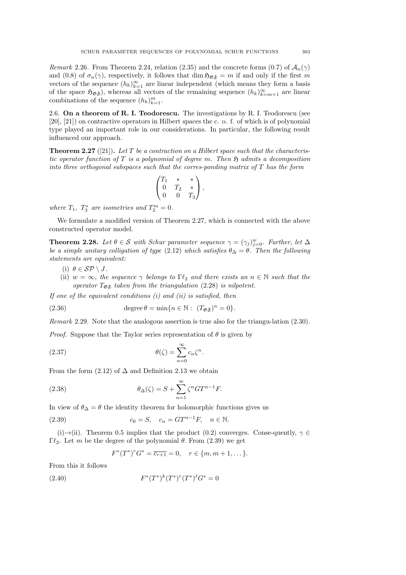Remark 2.26. From Theorem 2.24, relation (2.35) and the concrete forms (0.7) of  $\mathcal{A}_n(\gamma)$ and (0.8) of  $\sigma_n(\gamma)$ , respectively, it follows that dim  $\mathfrak{H}_{\mathfrak{G},\mathfrak{F}} = m$  if and only if the first m vectors of the sequence  $(h_k)_{k=1}^{\infty}$  are linear independent (which means they form a basis of the space  $\mathfrak{H}_{\mathfrak{G}, \mathfrak{F}}$ , whereas all vectors of the remaining sequence  $(h_k)_{k=m+1}^{\infty}$  are linear combinations of the sequence  $(h_k)_{k=1}^m$ .

2.6. On a theorem of R. I. Teodorescu. The investigations by R. I. Teodorescu (see  $[20]$ ,  $[21]$ ) on contractive operators in Hilbert spaces the c. o. f. of which is of polynomial type played an important role in our considerations. In particular, the following result influenced our approach.

**Theorem 2.27** ([21]). Let T be a contraction on a Hilbert space such that the characteristic operator function of T is a polynomial of degree m. Then  $\mathfrak{H}$  admits a decomposition into three orthogonal subspaces such that the corres-ponding matrix of  $T$  has the form

$$
\begin{pmatrix} T_1 & * & * \ 0 & T_2 & * \ 0 & 0 & T_3 \end{pmatrix},
$$

where  $T_1$ ,  $T_3^*$  are isometries and  $T_2^m = 0$ .

We formulate a modified version of Theorem 2.27, which is connected with the above constructed operator model.

**Theorem 2.28.** Let  $\theta \in \mathcal{S}$  with Schur parameter sequence  $\gamma = (\gamma_j)_{j=0}^w$ . Further, let  $\Delta$ be a simple unitary colligation of type (2.12) which satisfies  $\theta_{\Delta} = \theta$ . Then the following statements are equivalent:

- (i)  $\theta \in \mathcal{SP} \setminus J$ .
- (ii)  $w = \infty$ , the sequence  $\gamma$  belongs to  $\Gamma \ell_2$  and there exists an  $n \in \mathbb{N}$  such that the operator  $T_{\mathfrak{G}F}$  taken from the triangulation (2.28) is nilpotent.

If one of the equivalent conditions  $(i)$  and  $(ii)$  is satisfied, then

(2.36) 
$$
\text{degree }\theta = \min\{n \in \mathbb{N}: (T_{\mathfrak{G}\mathfrak{F}})^n = 0\}.
$$

Remark 2.29. Note that the analogous assertion is true also for the triangu-lation (2.30).

*Proof.* Suppose that the Taylor series representation of  $\theta$  is given by

(2.37) 
$$
\theta(\zeta) = \sum_{n=0}^{\infty} c_n \zeta^n.
$$

From the form  $(2.12)$  of  $\Delta$  and Definition 2.13 we obtain

(2.38) 
$$
\theta_{\Delta}(\zeta) = S + \sum_{n=1}^{\infty} \zeta^n GT^{n-1} F.
$$

In view of  $\theta_{\Delta} = \theta$  the identity theorem for holomorphic functions gives us

(2.39) 
$$
c_0 = S, \quad c_n = GT^{n-1}F, \quad n \in \mathbb{N}.
$$

(i) $\rightarrow$ (ii). Theorem 0.5 implies that the product (0.2) converges. Conse-quently,  $\gamma \in$ Γ $\ell_2$ . Let m be the degree of the polynomial θ. From (2.39) we get

$$
F^*(T^*)^r G^* = \overline{c_{r+1}} = 0, \quad r \in \{m, m+1, \dots\}.
$$

From this it follows

(2.40) 
$$
F^*(T^*)^k(T^*)^r(T^*)^{\ell}G^* = 0
$$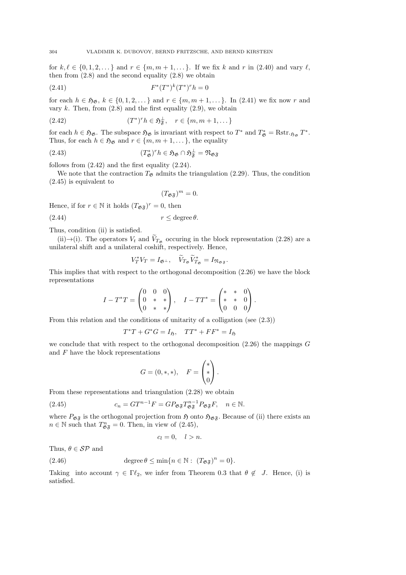for  $k, \ell \in \{0, 1, 2, \dots\}$  and  $r \in \{m, m + 1, \dots\}$ . If we fix k and r in (2.40) and vary  $\ell$ , then from  $(2.8)$  and the second equality  $(2.8)$  we obtain

(2.41) 
$$
F^*(T^*)^k(T^*)^r h = 0
$$

for each  $h \in \mathfrak{H}_{\mathfrak{G}}, k \in \{0,1,2,\ldots\}$  and  $r \in \{m, m+1,\ldots\}$ . In (2.41) we fix now r and vary  $k$ . Then, from  $(2.8)$  and the first equality  $(2.9)$ , we obtain

$$
(2.42) \qquad (T^*)^r h \in \mathfrak{H}_{\mathfrak{F}}^{\perp}, \quad r \in \{m, m+1, \dots\}
$$

for each  $h \in \mathfrak{H}_{\mathfrak{G}}$ . The subspace  $\mathfrak{H}_{\mathfrak{G}}$  is invariant with respect to  $T^*$  and  $T^*_{\mathfrak{G}} = \text{Rstr.}_{\mathfrak{H}_{\mathfrak{G}}} T^*$ . Thus, for each  $h \in \mathfrak{H}_\mathfrak{G}$  and  $r \in \{m, m+1, \dots\}$ , the equality

(2.43) 
$$
(T^*_{\mathfrak{G}})^r h \in \mathfrak{H}_{\mathfrak{G}} \cap \mathfrak{H}_{\mathfrak{F}}^{\perp} = \mathfrak{N}_{\mathfrak{G}\mathfrak{F}}
$$

follows from  $(2.42)$  and the first equality  $(2.24)$ .

We note that the contraction  $T_{\mathfrak{G}}$  admits the triangulation (2.29). Thus, the condition (2.45) is equivalent to

$$
(T_{\mathfrak{G}\mathfrak{F}})^m = 0.
$$

Hence, if for  $r \in \mathbb{N}$  it holds  $(T_{\mathfrak{GS}})^r = 0$ , then

$$
(2.44) \t\t\t r \leq \text{degree }\theta.
$$

Thus, condition (ii) is satisfied.

(ii) $\rightarrow$ (i). The operators  $V_t$  and  $\tilde{V}_{T_{\sigma}}$  occuring in the block representation (2.28) are a unilateral shift and a unilateral coshift, respectively. Hence,

$$
V_T^*V_T = I_{\mathfrak{G}^\perp}, \quad \widetilde{V}_{T_{\mathfrak{G}}} \widetilde{V}_{T_{\mathfrak{G}}}^* = I_{\mathfrak{N}_{\mathfrak{G}\mathfrak{F}}}.
$$

This implies that with respect to the orthogonal decomposition (2.26) we have the block representations

$$
I - T^*T = \begin{pmatrix} 0 & 0 & 0 \\ 0 & * & * \\ 0 & * & * \end{pmatrix}, \quad I - TT^* = \begin{pmatrix} * & * & 0 \\ * & * & 0 \\ 0 & 0 & 0 \end{pmatrix}.
$$

From this relation and the conditions of unitarity of a colligation (see (2.3))

$$
T^*T + G^*G = I_{\mathfrak{H}}, \quad TT^* + FF^* = I_{\mathfrak{H}}
$$

we conclude that with respect to the orthogonal decomposition  $(2.26)$  the mappings G and  $F$  have the block representations

$$
G = (0, *, *), \quad F = \begin{pmatrix} * \\ * \\ 0 \end{pmatrix}.
$$

From these representations and triangulation (2.28) we obtain

(2.45) 
$$
c_n = GT^{n-1}F = GP_{\mathfrak{GS}}T_{\mathfrak{GS}}^{n-1}P_{\mathfrak{GS}}F, \quad n \in \mathbb{N}.
$$

where  $P_{\mathfrak{G}\mathfrak{F}}$  is the orthogonal projection from  $\mathfrak{H}$  onto  $\mathfrak{H}_{\mathfrak{G}\mathfrak{F}}$ . Because of (ii) there exists an  $n \in \mathbb{N}$  such that  $T_{\mathfrak{G} \mathfrak{F}}^n = 0$ . Then, in view of  $(2.45)$ ,

$$
c_l = 0, \quad l > n.
$$

Thus,  $\theta \in \mathcal{SP}$  and

(2.46) 
$$
\deg \operatorname{ree} \theta \le \min \{ n \in \mathbb{N} : (T_{\mathfrak{G} \mathfrak{F}})^n = 0 \}.
$$

Taking into account  $\gamma \in \Gamma \ell_2$ , we infer from Theorem 0.3 that  $\theta \notin J$ . Hence, (i) is satisfied.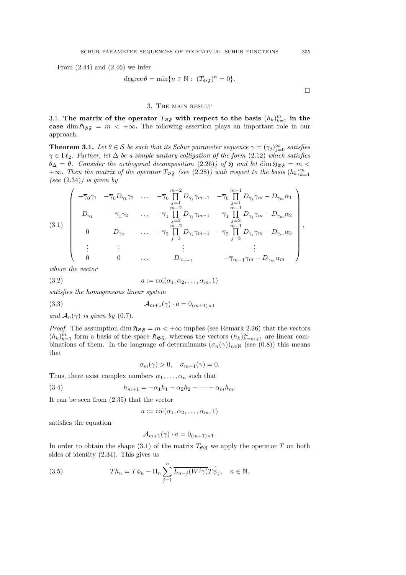From  $(2.44)$  and  $(2.46)$  we infer

degree 
$$
\theta = \min\{n \in \mathbb{N}: (T_{\mathfrak{G}\mathfrak{F}})^n = 0\}.
$$

3. The main result

3.1. The matrix of the operator  $T_{\mathfrak{G}^{\mathfrak{F}}}$  with respect to the basis  $(h_k)_{k=1}^m$  in the case dim  $\mathfrak{H}_{\mathfrak{G}\mathfrak{F}} = m < +\infty$ . The following assertion plays an important role in our approach.

**Theorem 3.1.** Let  $\theta \in \mathcal{S}$  be such that its Schur parameter sequence  $\gamma = (\gamma_j)_{j=0}^{\infty}$  satisfies  $\gamma \in \Gamma \ell_2$ . Further, let  $\Delta$  be a simple unitary colligation of the form (2.12) which satisfies  $\theta_{\Delta} = \theta$ . Consider the orthogonal decomposition (2.26)) of  $\mathfrak{H}$  and let dim  $\mathfrak{H}_{\mathfrak{G},\mathfrak{F}} = m$ +∞. Then the matrix of the operator  $T_{\mathfrak{G}F}$  (see (2.28)) with respect to the basis  $(h_k)_{k=1}^m$ (see  $(2.34)$ ) is given by

$$
(3.1) \begin{pmatrix} -\overline{\gamma}_0 \gamma_1 & -\overline{\gamma}_0 D_{\gamma_1} \gamma_2 & \dots & -\overline{\gamma}_0 \prod_{j=1}^{m-2} D_{\gamma_j} \gamma_{m-1} & -\overline{\gamma}_0 \prod_{j=1}^{m-1} D_{\gamma_j} \gamma_m - D_{\gamma_m} \alpha_1 \\ D_{\gamma_1} & -\overline{\gamma}_1 \gamma_2 & \dots & -\overline{\gamma}_1 \prod_{j=2}^{m-2} D_{\gamma_j} \gamma_{m-1} & -\overline{\gamma}_1 \prod_{j=2}^{m-1} D_{\gamma_j} \gamma_m - D_{\gamma_m} \alpha_2 \\ 0 & D_{\gamma_2} & \dots & -\overline{\gamma}_2 \prod_{j=3}^{m-2} D_{\gamma_j} \gamma_{m-1} & -\overline{\gamma}_2 \prod_{j=3}^{m-1} D_{\gamma_j} \gamma_m - D_{\gamma_m} \alpha_3 \\ \vdots & \vdots & \vdots & \vdots & \vdots \\ 0 & 0 & \dots & D_{\gamma_{m-1}} & -\overline{\gamma}_{m-1} \gamma_m - D_{\gamma_m} \alpha_m \end{pmatrix},
$$

where the vector

(3.2) 
$$
a := \text{col}(\alpha_1, \alpha_2, \dots, \alpha_m, 1)
$$

satisfies the homogeneous linear system

$$
(3.3) \qquad \qquad \mathcal{A}_{m+1}(\gamma) \cdot a = 0_{(m+1)\times 1}
$$

and  $A_n(\gamma)$  is given by (0.7).

*Proof.* The assumption dim  $\mathfrak{H}_{\mathfrak{G}} = m < +\infty$  implies (see Remark 2.26) that the vectors  $(h_k)_{k=1}^m$  form a basis of the space  $\mathfrak{H}_{\mathfrak{G}\mathfrak{F}}$ , whereas the vectors  $(h_k)_{k=m+1}^\infty$  are linear combinations of them. In the language of determinants  $(\sigma_n(\gamma))_{n\in\mathbb{N}}$  (see (0.8)) this means that

$$
\sigma_m(\gamma) > 0, \quad \sigma_{m+1}(\gamma) = 0.
$$

Thus, there exist complex numbers  $\alpha_1, \ldots, \alpha_n$  such that

(3.4) 
$$
h_{m+1} = -\alpha_1 h_1 - \alpha_2 h_2 - \dots - \alpha_m h_m.
$$

It can be seen from (2.35) that the vector

$$
a := \mathrm{col}(\alpha_1, \alpha_2, \ldots, \alpha_m, 1)
$$

satisfies the equation

$$
\mathcal{A}_{m+1}(\gamma) \cdot a = 0_{(m+1)\times 1}.
$$

In order to obtain the shape (3.1) of the matrix  $T_{\mathfrak{G}^*}$  we apply the operator T on both sides of identity (2.34). This gives us

(3.5) 
$$
Th_n = T\phi_n - \Pi_n \sum_{j=1}^n \overline{L_{n-j}(W^j\gamma)} T\widetilde{\psi}_j, \quad n \in \mathbb{N}.
$$

 $\Box$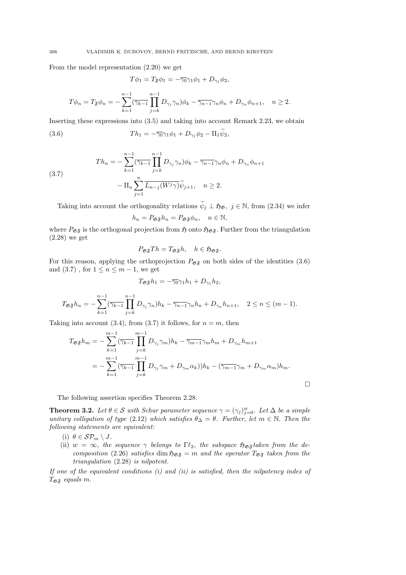From the model representation (2.20) we get

$$
T\phi_1 = T_{\mathfrak{F}}\phi_1 = -\overline{\gamma_0}\gamma_1\phi_1 + D_{\gamma_1}\phi_2,
$$

$$
T\phi_n = T_{\mathfrak{F}}\phi_n = -\sum_{k=1}^{n-1} (\overline{\gamma_{k-1}} \prod_{j=k}^{n-1} D_{\gamma_j} \gamma_n) \phi_k - \overline{\gamma_{n-1}} \gamma_n \phi_n + D_{\gamma_n} \phi_{n+1}, \quad n \ge 2.
$$

Inserting these expressions into (3.5) and taking into account Remark 2.23, we obtain

(3.6) 
$$
Th_1 = -\overline{\gamma_0}\gamma_1\phi_1 + D_{\gamma_1}\phi_2 - \Pi_1\widetilde{\psi}_2,
$$

(3.7) 
$$
Th_{n} = -\sum_{k=1}^{n-1} (\overline{\gamma_{k-1}} \prod_{j=k}^{n-1} D_{\gamma_{j}} \gamma_{n}) \phi_{k} - \overline{\gamma_{n-1}} \gamma_{n} \phi_{n} + D_{\gamma_{n}} \phi_{n+1} - \Pi_{n} \sum_{j=1}^{n} \overline{L_{n-j}(W^{j}\gamma)} \widetilde{\psi}_{j+1}, \quad n \ge 2.
$$

Taking into account the orthogonality relations  $\tilde{\psi}_j \perp \mathfrak{H}_{\mathfrak{G}}, \ j \in \mathbb{N}$ , from (2.34) we infer

$$
h_n = P_{\mathfrak{G}\mathfrak{F}} h_n = P_{\mathfrak{G}\mathfrak{F}} \phi_n, \quad n \in \mathbb{N},
$$

where  $P_{\mathfrak{G}\mathfrak{F}}$  is the orthogonal projection from  $\mathfrak{H}$  onto  $\mathfrak{H}_{\mathfrak{G}\mathfrak{F}}$ . Further from the triangulation (2.28) we get

$$
P_{\mathfrak{G}\mathfrak{F}}Th = T_{\mathfrak{G}\mathfrak{F}}h, \quad h \in \mathfrak{H}_{\mathfrak{G}\mathfrak{F}}.
$$

For this reason, applying the orthoprojection  $P_{\mathfrak{G}^*}$  on both sides of the identities (3.6) and  $(3.7)$ , for  $1 \leq n \leq m-1$ , we get

$$
T_{\mathfrak{GS}}h_1=-\overline{\gamma_0}\gamma_1h_1+D_{\gamma_1}h_2,
$$

$$
T_{\mathfrak{G}\mathfrak{F}}h_n = -\sum_{k=1}^{n-1} (\overline{\gamma_{k-1}} \prod_{j=k}^{n-1} D_{\gamma_j} \gamma_n) h_k - \overline{\gamma_{n-1}} \gamma_n h_n + D_{\gamma_n} h_{n+1}, \quad 2 \le n \le (m-1).
$$

Taking into account (3.4), from (3.7) it follows, for  $n = m$ , then

$$
T_{\mathfrak{G}\mathfrak{F}}h_m = -\sum_{k=1}^{m-1} \underbrace{(\overline{\gamma_{k-1}} \prod_{j=k}^{m-1} D_{\gamma_j} \gamma_m) h_k - \overline{\gamma_{m-1}} \gamma_m h_m + D_{\gamma_m} h_{m+1}}_{= -\sum_{k=1}^{m-1} \underbrace{(\overline{\gamma_{k-1}} \prod_{j=k}^{m-1} D_{\gamma_j} \gamma_m + D_{\gamma_m} \alpha_k)) h_k - (\overline{\gamma_{m-1}} \gamma_m + D_{\gamma_m} \alpha_m) h_m.
$$

 $\Box$ 

The following assertion specifies Theorem 2.28.

**Theorem 3.2.** Let  $\theta \in \mathcal{S}$  with Schur parameter sequence  $\gamma = (\gamma_j)_{j=0}^w$ . Let  $\Delta$  be a simple unitary colligation of type (2.12) which satisfies  $\theta_{\Delta} = \theta$ . Further, let  $m \in \mathbb{N}$ . Then the following statements are equivalent:

- (i)  $\theta \in \mathcal{SP}_m \setminus J$ .
- (ii)  $w = \infty$ , the sequence  $\gamma$  belongs to  $\Gamma \ell_2$ , the subspace  $\mathfrak{H}_{\mathfrak{G}}$  taken from the decomposition (2.26) satisfies dim  $\mathfrak{H}_{\mathfrak{G},\mathfrak{F}} = m$  and the operator  $T_{\mathfrak{G},\mathfrak{F}}$  taken from the triangulation (2.28) is nilpotent.

If one of the equivalent conditions  $(i)$  and  $(ii)$  is satisfied, then the nilpotency index of  $T_{\mathfrak{G} \mathfrak{F}}$  equals m.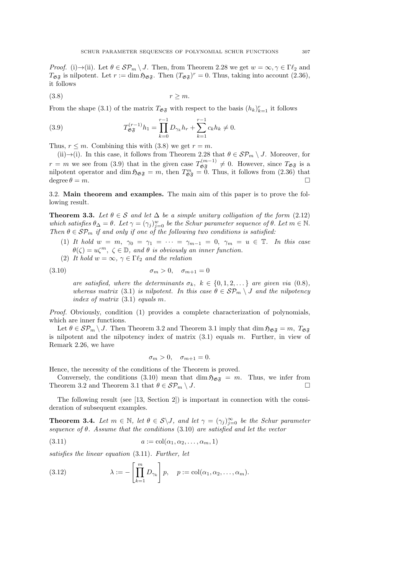*Proof.* (i)→(ii). Let  $\theta \in \mathcal{SP}_m \setminus J$ . Then, from Theorem 2.28 we get  $w = \infty, \gamma \in \Gamma \ell_2$  and  $T_{\mathfrak{G}\mathfrak{F}}$  is nilpotent. Let  $r := \dim \mathfrak{H}_{\mathfrak{G}\mathfrak{F}}$ . Then  $(T_{\mathfrak{G}\mathfrak{F}})^r = 0$ . Thus, taking into account  $(2.36)$ , it follows

$$
(3.8) \t\t\t r \ge m.
$$

From the shape (3.1) of the matrix  $T_{\mathfrak{G} \mathfrak{F}}$  with respect to the basis  $(h_k)_{k=1}^r$  it follows

(3.9) 
$$
T_{\mathfrak{G} \mathfrak{F}}^{(r-1)} h_1 = \prod_{k=0}^{r-1} D_{\gamma_k} h_r + \sum_{k=1}^{r-1} c_k h_k \neq 0.
$$

Thus,  $r \leq m$ . Combining this with (3.8) we get  $r = m$ .

(ii)→(i). In this case, it follows from Theorem 2.28 that  $\theta \in \mathcal{SP}_m \setminus J$ . Moreover, for  $r = m$  we see from (3.9) that in the given case  $T_{\mathfrak{G}^{\mathfrak{F}}}^{(m-1)} \neq 0$ . However, since  $T_{\mathfrak{G}^{\mathfrak{F}}}$  is a nilpotent operator and dim  $\mathfrak{H}_{\mathfrak{G}_{\mathfrak{F}}} = m$ , then  $T_{\mathfrak{G}_{\mathfrak{F}}}^m = 0$ . Thus, it follows from (2.36) that degree  $\theta = m$ .

3.2. Main theorem and examples. The main aim of this paper is to prove the following result.

**Theorem 3.3.** Let  $\theta \in \mathcal{S}$  and let  $\Delta$  be a simple unitary colligation of the form (2.12) which satisfies  $\theta_{\Delta} = \theta$ . Let  $\gamma = (\gamma_j)_{j=0}^w$  be the Schur parameter sequence of  $\theta$ . Let  $m \in \mathbb{N}$ . Then  $\theta \in \mathcal{SP}_m$  if and only if one of the following two conditions is satisfied:

- (1) It hold  $w = m$ ,  $\gamma_0 = \gamma_1 = \cdots = \gamma_{m-1} = 0$ ,  $\gamma_m = u \in \mathbb{T}$ . In this case  $\theta(\zeta) = u\zeta^m, \ \zeta \in \mathbb{D}$ , and  $\theta$  is obviously an inner function.
- (2) It hold  $w = \infty$ ,  $\gamma \in \Gamma \ell_2$  and the relation

$$
\sigma_m > 0, \quad \sigma_{m+1} = 0
$$

are satisfied, where the determinants  $\sigma_k$ ,  $k \in \{0, 1, 2, \ldots\}$  are given via  $(0.8)$ , whereas matrix (3.1) is nilpotent. In this case  $\theta \in \mathcal{SP}_m \setminus J$  and the nilpotency index of matrix (3.1) equals m.

Proof. Obviously, condition (1) provides a complete characterization of polynomials, which are inner functions.

Let  $\theta \in \mathcal{SP}_m \setminus J$ . Then Theorem 3.2 and Theorem 3.1 imply that dim  $\mathfrak{H}_{\mathfrak{GS}} = m$ ,  $T_{\mathfrak{GS}}$ is nilpotent and the nilpotency index of matrix (3.1) equals m. Further, in view of Remark 2.26, we have

$$
\sigma_m > 0, \quad \sigma_{m+1} = 0.
$$

Hence, the necessity of the conditions of the Theorem is proved.

Conversely, the conditions (3.10) mean that dim  $\mathfrak{H}_{\mathfrak{G},\mathfrak{F}} = m$ . Thus, we infer from Theorem 3.2 and Theorem 3.1 that  $\theta \in \mathcal{SP}_m \setminus J$ .

The following result (see [13, Section 2]) is important in connection with the consideration of subsequent examples.

**Theorem 3.4.** Let  $m \in \mathbb{N}$ , let  $\theta \in S \setminus J$ , and let  $\gamma = (\gamma_j)_{j=0}^{\infty}$  be the Schur parameter sequence of  $\theta$ . Assume that the conditions (3.10) are satisfied and let the vector

$$
(3.11) \t\t a := col(\alpha_1, \alpha_2, \dots, \alpha_m, 1)
$$

satisfies the linear equation (3.11). Further, let

(3.12) 
$$
\lambda := -\left[\prod_{k=1}^{m} D_{\gamma_k}\right] p, \quad p := \text{col}(\alpha_1, \alpha_2, \dots, \alpha_m).
$$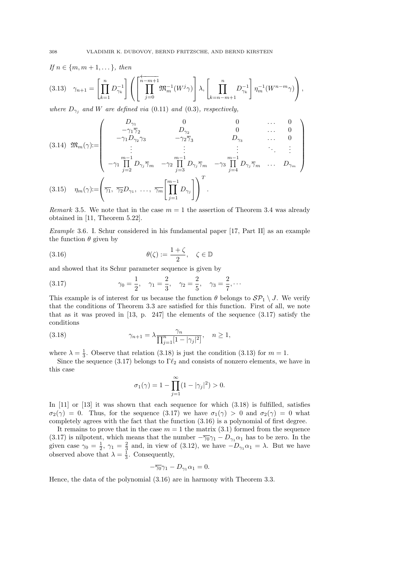If  $n \in \{m, m+1, \dots\}$ , then

$$
(3.13) \quad \gamma_{n+1} = \left[\prod_{k=1}^{n} D_{\gamma_k}^{-1}\right] \left( \left[\prod_{j=0}^{\overbrace{n-m+1 \atop j=0}} \mathfrak{M}_m^{-1}(W^j \gamma)\right] \lambda, \left[\prod_{k=n-m+1}^{n} D_{\gamma_k}^{-1}\right] \eta_m^{-1}(W^{n-m} \gamma) \right),
$$

where  $D_{\gamma_i}$  and W are defined via (0.11) and (0.3), respectively,

$$
(3.14) \ \mathfrak{M}_{m}(\gamma) := \begin{pmatrix} D_{\gamma_{1}} & 0 & 0 & \dots & 0 \\ -\gamma_{1}\overline{\gamma}_{2} & D_{\gamma_{2}} & 0 & \dots & 0 \\ -\gamma_{1}D_{\gamma_{2}}\gamma_{3} & -\gamma_{2}\overline{\gamma}_{3} & D_{\gamma_{3}} & \dots & 0 \\ \vdots & \vdots & \vdots & \vdots & \ddots & \vdots \\ -\gamma_{1}\prod_{j=2}^{m-1}D_{\gamma_{j}}\overline{\gamma}_{m} & -\gamma_{2}\prod_{j=3}^{m-1}D_{\gamma_{j}}\overline{\gamma}_{m} & -\gamma_{3}\prod_{j=4}^{m-1}D_{\gamma_{j}}\overline{\gamma}_{m} & \dots & D_{\gamma_{m}} \end{pmatrix}
$$
  

$$
(3.15) \ \eta_{m}(\gamma) := \left(\overline{\gamma_{1}}, \ \overline{\gamma_{2}}D_{\gamma_{1}}, \ \dots, \ \overline{\gamma_{m}}\left[\prod_{j=1}^{m-1}D_{\gamma_{j}}\right]\right)^{T}.
$$

Remark 3.5. We note that in the case  $m = 1$  the assertion of Theorem 3.4 was already obtained in [11, Theorem 5.22].

Example 3.6. I. Schur considered in his fundamental paper [17, Part II] as an example the function  $\theta$  given by

(3.16) 
$$
\theta(\zeta) := \frac{1+\zeta}{2}, \quad \zeta \in \mathbb{D}
$$

and showed that its Schur parameter sequence is given by

(3.17) 
$$
\gamma_0 = \frac{1}{2}, \quad \gamma_1 = \frac{2}{3}, \quad \gamma_2 = \frac{2}{5}, \quad \gamma_3 = \frac{2}{7}, \cdots
$$

This example is of interest for us because the function  $\theta$  belongs to  $\mathcal{SP}_1 \setminus J$ . We verify that the conditions of Theorem 3.3 are satisfied for this function. First of all, we note that as it was proved in [13, p. 247] the elements of the sequence (3.17) satisfy the conditions

(3.18) 
$$
\gamma_{n+1} = \lambda \frac{\gamma_n}{\prod_{j=1}^n [1 - |\gamma_j|^2]}, \quad n \ge 1,
$$

where  $\lambda = \frac{1}{3}$ . Observe that relation (3.18) is just the condition (3.13) for  $m = 1$ .

Since the sequence (3.17) belongs to  $\Gamma \ell_2$  and consists of nonzero elements, we have in this case

$$
\sigma_1(\gamma) = 1 - \prod_{j=1}^{\infty} (1 - |\gamma_j|^2) > 0.
$$

In  $[11]$  or  $[13]$  it was shown that each sequence for which  $(3.18)$  is fulfilled, satisfies  $\sigma_2(\gamma) = 0$ . Thus, for the sequence (3.17) we have  $\sigma_1(\gamma) > 0$  and  $\sigma_2(\gamma) = 0$  what completely agrees with the fact that the function (3.16) is a polynomial of first degree.

It remains to prove that in the case  $m = 1$  the matrix (3.1) formed from the sequence (3.17) is nilpotent, which means that the number  $-\overline{\gamma_0}\gamma_1 - D_{\gamma_1}\alpha_1$  has to be zero. In the given case  $\gamma_0 = \frac{1}{2}$ ,  $\gamma_1 = \frac{2}{3}$  and, in view of (3.12), we have  $-D_{\gamma_1} \alpha_1 = \lambda$ . But we have observed above that  $\lambda = \frac{1}{3}$ . Consequently,

$$
-\overline{\gamma_0}\gamma_1 - D_{\gamma_1}\alpha_1 = 0.
$$

Hence, the data of the polynomial (3.16) are in harmony with Theorem 3.3.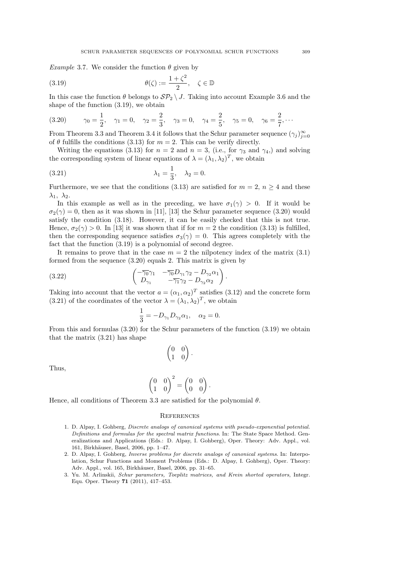Example 3.7. We consider the function  $\theta$  given by

(3.19) 
$$
\theta(\zeta) := \frac{1+\zeta^2}{2}, \quad \zeta \in \mathbb{D}
$$

In this case the function  $\theta$  belongs to  $\mathcal{SP}_2 \setminus J$ . Taking into account Example 3.6 and the shape of the function (3.19), we obtain

(3.20) 
$$
\gamma_0 = \frac{1}{2}, \quad \gamma_1 = 0, \quad \gamma_2 = \frac{2}{3}, \quad \gamma_3 = 0, \quad \gamma_4 = \frac{2}{5}, \quad \gamma_5 = 0, \quad \gamma_6 = \frac{2}{7}, \cdots
$$

From Theorem 3.3 and Theorem 3.4 it follows that the Schur parameter sequence  $(\gamma_j)_{j=0}^{\infty}$ of  $\theta$  fulfills the conditions (3.13) for  $m = 2$ . This can be verify directly.

Writing the equations (3.13) for  $n = 2$  and  $n = 3$ , (i.e., for  $\gamma_3$  and  $\gamma_4$ ) and solving the corresponding system of linear equations of  $\lambda = (\lambda_1, \lambda_2)^T$ , we obtain

(3.21) 
$$
\lambda_1 = \frac{1}{3}, \quad \lambda_2 = 0.
$$

Furthermore, we see that the conditions (3.13) are satisfied for  $m = 2$ ,  $n \ge 4$  and these  $\lambda_1, \lambda_2.$ 

In this example as well as in the preceding, we have  $\sigma_1(\gamma) > 0$ . If it would be  $\sigma_2(\gamma) = 0$ , then as it was shown in [11], [13] the Schur parameter sequence (3.20) would satisfy the condition (3.18). However, it can be easily checked that this is not true. Hence,  $\sigma_2(\gamma) > 0$ . In [13] it was shown that if for  $m = 2$  the condition (3.13) is fulfilled, then the corresponding sequence satisfies  $\sigma_3(\gamma) = 0$ . This agrees completely with the fact that the function (3.19) is a polynomial of second degree.

It remains to prove that in the case  $m = 2$  the nilpotency index of the matrix (3.1) formed from the sequence (3.20) equals 2. This matrix is given by

(3.22) 
$$
\begin{pmatrix} -\overline{\gamma_0}\gamma_1 & -\overline{\gamma_0}D_{\gamma_1}\gamma_2 - D_{\gamma_2}\alpha_1 \\ D_{\gamma_1} & -\overline{\gamma_1}\gamma_2 - D_{\gamma_2}\alpha_2 \end{pmatrix}.
$$

Taking into account that the vector  $a = (\alpha_1, \alpha_2)^T$  satisfies (3.12) and the concrete form (3.21) of the coordinates of the vector  $\lambda = (\lambda_1, \lambda_2)^T$ , we obtain

$$
\frac{1}{3} = -D_{\gamma_1} D_{\gamma_2} \alpha_1, \quad \alpha_2 = 0.
$$

From this and formulas  $(3.20)$  for the Schur parameters of the function  $(3.19)$  we obtain that the matrix (3.21) has shape

$$
\begin{pmatrix} 0 & 0 \\ 1 & 0 \end{pmatrix}.
$$

Thus,

$$
\begin{pmatrix} 0 & 0 \\ 1 & 0 \end{pmatrix}^2 = \begin{pmatrix} 0 & 0 \\ 0 & 0 \end{pmatrix}.
$$

Hence, all conditions of Theorem 3.3 are satisfied for the polynomial  $\theta$ .

## **REFERENCES**

- 1. D. Alpay, I. Gohberg, Discrete analogs of canonical systems with pseudo-exponential potential. Definitions and formulas for the spectral matrix functions. In: The State Space Method. Generalizations and Applications (Eds.: D. Alpay, I. Gohberg), Oper. Theory: Adv. Appl., vol. 161, Birkhäuser, Basel, 2006, pp. 1–47.
- 2. D. Alpay, I. Gohberg, Inverse problems for discrete analogs of canonical systems. In: Interpolation, Schur Functions and Moment Problems (Eds.: D. Alpay, I. Gohberg), Oper. Theory: Adv. Appl., vol. 165, Birkhäuser, Basel, 2006, pp. 31–65.
- 3. Yu. M. Arlinskii, Schur parameters, Toeplitz matrices, and Krein shorted operators, Integr. Equ. Oper. Theory 71 (2011), 417–453.